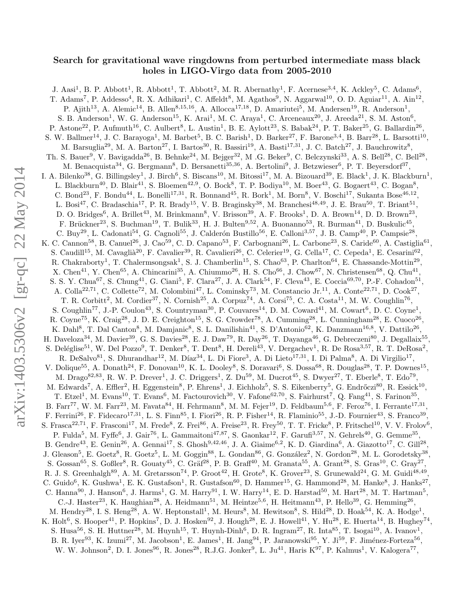# Search for gravitational wave ringdowns from perturbed intermediate mass black holes in LIGO-Virgo data from 2005-2010

J. Aasi<sup>1</sup>, B. P. Abbott<sup>1</sup>, R. Abbott<sup>1</sup>, T. Abbott<sup>2</sup>, M. R. Abernathy<sup>1</sup>, F. Acernese<sup>3,4</sup>, K. Ackley<sup>5</sup>, C. Adams<sup>6</sup>, T. Adams<sup>7</sup>, P. Addesso<sup>4</sup>, R. X. Adhikari<sup>1</sup>, C. Affeldt<sup>8</sup>, M. Agathos<sup>9</sup>, N. Aggarwal<sup>10</sup>, O. D. Aguiar<sup>11</sup>, A. Ain<sup>12</sup>, P. Ajith<sup>13</sup>, A. Alemic<sup>14</sup>, B. Allen<sup>8,15,16</sup>, A. Allocca<sup>17,18</sup>, D. Amariutei<sup>5</sup>, M. Andersen<sup>19</sup>, R. Anderson<sup>1</sup>, S. B. Anderson<sup>1</sup>, W. G. Anderson<sup>15</sup>, K. Arai<sup>1</sup>, M. C. Araya<sup>1</sup>, C. Arceneaux<sup>20</sup>, J. Areeda<sup>21</sup>, S. M. Aston<sup>6</sup>, P. Astone<sup>22</sup>, P. Aufmuth<sup>16</sup>, C. Aulbert<sup>8</sup>, L. Austin<sup>1</sup>, B. E. Aylott<sup>23</sup>, S. Babak<sup>24</sup>, P. T. Baker<sup>25</sup>, G. Ballardin<sup>26</sup>, S. W. Ballmer<sup>14</sup>, J. C. Barayoga<sup>1</sup>, M. Barbet<sup>5</sup>, B. C. Barish<sup>1</sup>, D. Barker<sup>27</sup>, F. Barone<sup>3,4</sup>, B. Barr<sup>28</sup>, L. Barsotti<sup>10</sup>, M. Barsuglia<sup>29</sup>, M. A. Barton<sup>27</sup>, I. Bartos<sup>30</sup>, R. Bassiri<sup>19</sup>, A. Basti<sup>17,31</sup>, J. C. Batch<sup>27</sup>, J. Bauchrowitz<sup>8</sup>, Th. S. Bauer<sup>9</sup>, V. Bavigadda<sup>26</sup>, B. Behnke<sup>24</sup>, M. Bejger<sup>32</sup>, M .G. Beker<sup>9</sup>, C. Belczynski<sup>33</sup>, A. S. Bell<sup>28</sup>, C. Bell<sup>28</sup>, M. Benacquista<sup>34</sup>, G. Bergmann<sup>8</sup>, D. Bersanetti<sup>35,36</sup>, A. Bertolini<sup>9</sup>, J. Betzwieser<sup>6</sup>, P. T. Beyersdorf<sup>37</sup>, I. A. Bilenko<sup>38</sup>, G. Billingsley<sup>1</sup>, J. Birch<sup>6</sup>, S. Biscans<sup>10</sup>, M. Bitossi<sup>17</sup>, M. A. Bizouard<sup>39</sup>, E. Black<sup>1</sup>, J. K. Blackburn<sup>1</sup>, L. Blackburn<sup>40</sup>, D. Blair<sup>41</sup>, S. Bloemen<sup>42,9</sup>, O. Bock<sup>8</sup>, T. P. Bodiya<sup>10</sup>, M. Boer<sup>43</sup>, G. Bogaert<sup>43</sup>, C. Bogan<sup>8</sup>, C. Bond<sup>23</sup>, F. Bondu<sup>44</sup>, L. Bonelli<sup>17,31</sup>, R. Bonnand<sup>45</sup>, R. Bork<sup>1</sup>, M. Born<sup>8</sup>, V. Boschi<sup>17</sup>, Sukanta Bose<sup>46,12</sup>, L. Bosi<sup>47</sup>, C. Bradaschia<sup>17</sup>, P. R. Brady<sup>15</sup>, V. B. Braginsky<sup>38</sup>, M. Branchesi<sup>48,49</sup>, J. E. Brau<sup>50</sup>, T. Briant<sup>51</sup>, D. O. Bridges<sup>6</sup>, A. Brillet<sup>43</sup>, M. Brinkmann<sup>8</sup>, V. Brisson<sup>39</sup>, A. F. Brooks<sup>1</sup>, D. A. Brown<sup>14</sup>, D. D. Brown<sup>23</sup>, F. Brückner<sup>23</sup>, S. Buchman<sup>19</sup>, T. Bulik<sup>33</sup>, H. J. Bulten<sup>9,52</sup>, A. Buonanno<sup>53</sup>, R. Burman<sup>41</sup>, D. Buskulic<sup>45</sup>, C. Buy<sup>29</sup>, L. Cadonati<sup>54</sup>, G. Cagnoli<sup>55</sup>, J. Calderón Bustillo<sup>56</sup>, E. Calloni<sup>3,57</sup>, J. B. Camp<sup>40</sup>, P. Campsie<sup>28</sup>, K. C. Cannon<sup>58</sup>, B. Canuel<sup>26</sup>, J. Cao<sup>59</sup>, C. D. Capano<sup>53</sup>, F. Carbognani<sup>26</sup>, L. Carbone<sup>23</sup>, S. Caride<sup>60</sup>, A. Castiglia<sup>61</sup>, S. Caudill<sup>15</sup>, M. Cavaglià<sup>20</sup>, F. Cavalier<sup>39</sup>, R. Cavalieri<sup>26</sup>, C. Celerier<sup>19</sup>, G. Cella<sup>17</sup>, C. Cepeda<sup>1</sup>, E. Cesarini<sup>62</sup>, R. Chakraborty<sup>1</sup>, T. Chalermsongsak<sup>1</sup>, S. J. Chamberlin<sup>15</sup>, S. Chao<sup>63</sup>, P. Charlton<sup>64</sup>, E. Chassande-Mottin<sup>29</sup>, X. Chen<sup>41</sup>, Y. Chen<sup>65</sup>, A. Chincarini<sup>35</sup>, A. Chiummo<sup>26</sup>, H. S. Cho<sup>66</sup>, J. Chow<sup>67</sup>, N. Christensen<sup>68</sup>, Q. Chu<sup>41</sup>, S. S. Y. Chua<sup>67</sup>, S. Chung<sup>41</sup>, G. Ciani<sup>5</sup>, F. Clara<sup>27</sup>, J. A. Clark<sup>54</sup>, F. Cleva<sup>43</sup>, E. Coccia<sup>69,70</sup>, P.-F. Cohadon<sup>51</sup>, A. Colla<sup>22,71</sup>, C. Collette<sup>72</sup>, M. Colombini<sup>47</sup>, L. Cominsky<sup>73</sup>, M. Constancio Jr.<sup>11</sup>, A. Conte<sup>22,71</sup>, D. Cook<sup>27</sup>, T. R. Corbitt<sup>2</sup>, M. Cordier<sup>37</sup>, N. Cornish<sup>25</sup>, A. Corpuz<sup>74</sup>, A. Corsi<sup>75</sup>, C. A. Costa<sup>11</sup>, M. W. Coughlin<sup>76</sup>, S. Coughlin<sup>77</sup>, J.-P. Coulon<sup>43</sup>, S. Countryman<sup>30</sup>, P. Couvares<sup>14</sup>, D. M. Coward<sup>41</sup>, M. Cowart<sup>6</sup>, D. C. Coyne<sup>1</sup>, R. Coyne<sup>75</sup>, K. Craig<sup>28</sup>, J. D. E. Creighton<sup>15</sup>, S. G. Crowder<sup>78</sup>, A. Cumming<sup>28</sup>, L. Cunningham<sup>28</sup>, E. Cuoco<sup>26</sup>, K. Dahl<sup>8</sup>, T. Dal Canton<sup>8</sup>, M. Damjanic<sup>8</sup>, S. L. Danilishin<sup>41</sup>, S. D'Antonio<sup>62</sup>, K. Danzmann<sup>16,8</sup>, V. Dattilo<sup>26</sup>, H. Daveloza<sup>34</sup>, M. Davier<sup>39</sup>, G. S. Davies<sup>28</sup>, E. J. Daw<sup>79</sup>, R. Day<sup>26</sup>, T. Dayanga<sup>46</sup>, G. Debreczeni<sup>80</sup>, J. Degallaix<sup>55</sup>, S. Deléglise<sup>51</sup>, W. Del Pozzo<sup>9</sup>, T. Denker<sup>8</sup>, T. Dent<sup>8</sup>, H. Dereli<sup>43</sup>, V. Dergachev<sup>1</sup>, R. De Rosa<sup>3,57</sup>, R. T. DeRosa<sup>2</sup>, R. DeSalvo<sup>81</sup>, S. Dhurandhar<sup>12</sup>, M. Díaz<sup>34</sup>, L. Di Fiore<sup>3</sup>, A. Di Lieto<sup>17,31</sup>, I. Di Palma<sup>8</sup>, A. Di Virgilio<sup>17</sup>, V. Dolique<sup>55</sup>, A. Donath<sup>24</sup>, F. Donovan<sup>10</sup>, K. L. Dooley<sup>8</sup>, S. Doravari<sup>6</sup>, S. Dossa<sup>68</sup>, R. Douglas<sup>28</sup>, T. P. Downes<sup>15</sup>, M. Drago<sup>82,83</sup>, R. W. P. Drever<sup>1</sup>, J. C. Driggers<sup>1</sup>, Z. Du<sup>59</sup>, M. Ducrot<sup>45</sup>, S. Dwyer<sup>27</sup>, T. Eberle<sup>8</sup>, T. Edo<sup>79</sup>, M. Edwards<sup>7</sup>, A. Effler<sup>2</sup>, H. Eggenstein<sup>8</sup>, P. Ehrens<sup>1</sup>, J. Eichholz<sup>5</sup>, S. S. Eikenberry<sup>5</sup>, G. Endrőczi<sup>80</sup>, R. Essick<sup>10</sup>, T. Etzel<sup>1</sup>, M. Evans<sup>10</sup>, T. Evans<sup>6</sup>, M. Factourovich<sup>30</sup>, V. Fafone<sup>62,70</sup>, S. Fairhurst<sup>7</sup>, Q. Fang<sup>41</sup>, S. Farinon<sup>35</sup>, B. Farr<sup>77</sup>, W. M. Farr<sup>23</sup>, M. Favata<sup>84</sup>, H. Fehrmann<sup>8</sup>, M. M. Fejer<sup>19</sup>, D. Feldbaum<sup>5,6</sup>, F. Feroz<sup>76</sup>, I. Ferrante<sup>17,31</sup>, F. Ferrini<sup>26</sup>, F. Fidecaro<sup>17,31</sup>, L. S. Finn<sup>85</sup>, I. Fiori<sup>26</sup>, R. P. Fisher<sup>14</sup>, R. Flaminio<sup>55</sup>, J.-D. Fournier<sup>43</sup>, S. Franco<sup>39</sup>, S. Frasca<sup>22,71</sup>, F. Frasconi<sup>17</sup>, M. Frede<sup>8</sup>, Z. Frei<sup>86</sup>, A. Freise<sup>23</sup>, R. Frey<sup>50</sup>, T. T. Fricke<sup>8</sup>, P. Fritschel<sup>10</sup>, V. V. Frolov<sup>6</sup>, P. Fulda<sup>5</sup>, M. Fyffe<sup>6</sup>, J. Gair<sup>76</sup>, L. Gammaitoni<sup>47,87</sup>, S. Gaonkar<sup>12</sup>, F. Garufi<sup>3,57</sup>, N. Gehrels<sup>40</sup>, G. Gemme<sup>35</sup>, B. Gendre<sup>43</sup>, E. Genin<sup>26</sup>, A. Gennai<sup>17</sup>, S. Ghosh<sup>9,42,46</sup>, J. A. Giaime<sup>6,2</sup>, K. D. Giardina<sup>6</sup>, A. Giazotto<sup>17</sup>, C. Gill<sup>28</sup>, J. Gleason<sup>5</sup>, E. Goetz<sup>8</sup>, R. Goetz<sup>5</sup>, L. M. Goggin<sup>88</sup>, L. Gondan<sup>86</sup>, G. González<sup>2</sup>, N. Gordon<sup>28</sup>, M. L. Gorodetsky<sup>38</sup>, S. Gossan<sup>65</sup>, S. Goßler<sup>8</sup>, R. Gouaty<sup>45</sup>, C. Gräf<sup>28</sup>, P. B. Graff<sup>40</sup>, M. Granata<sup>55</sup>, A. Grant<sup>28</sup>, S. Gras<sup>10</sup>, C. Gray<sup>27</sup>, R. J. S. Greenhalgh<sup>89</sup>, A. M. Gretarsson<sup>74</sup>, P. Groot<sup>42</sup>, H. Grote<sup>8</sup>, K. Grover<sup>23</sup>, S. Grunewald<sup>24</sup>, G. M. Guidi<sup>48,49</sup>, C. Guido<sup>6</sup>, K. Gushwa<sup>1</sup>, E. K. Gustafson<sup>1</sup>, R. Gustafson<sup>60</sup>, D. Hammer<sup>15</sup>, G. Hammond<sup>28</sup>, M. Hanke<sup>8</sup>, J. Hanks<sup>27</sup>, C. Hanna<sup>90</sup>, J. Hanson<sup>6</sup>, J. Harms<sup>1</sup>, G. M. Harry<sup>91</sup>, I. W. Harry<sup>14</sup>, E. D. Harstad<sup>50</sup>, M. Hart<sup>28</sup>, M. T. Hartman<sup>5</sup>, C.-J. Haster<sup>23</sup>, K. Haughian<sup>28</sup>, A. Heidmann<sup>51</sup>, M. Heintze<sup>5,6</sup>, H. Heitmann<sup>43</sup>, P. Hello<sup>39</sup>, G. Hemming<sup>26</sup>, M. Hendry<sup>28</sup>, I. S. Heng<sup>28</sup>, A. W. Heptonstall<sup>1</sup>, M. Heurs<sup>8</sup>, M. Hewitson<sup>8</sup>, S. Hild<sup>28</sup>, D. Hoak<sup>54</sup>, K. A. Hodge<sup>1</sup>, K. Holt<sup>6</sup>, S. Hooper<sup>41</sup>, P. Hopkins<sup>7</sup>, D. J. Hosken<sup>92</sup>, J. Hough<sup>28</sup>, E. J. Howell<sup>41</sup>, Y. Hu<sup>28</sup>, E. Huerta<sup>14</sup>, B. Hughey<sup>74</sup>, S. Husa<sup>56</sup>, S. H. Huttner<sup>28</sup>, M. Huynh<sup>15</sup>, T. Huynh-Dinh<sup>6</sup>, D. R. Ingram<sup>27</sup>, R. Inta<sup>85</sup>, T. Isogai<sup>10</sup>, A. Ivanov<sup>1</sup>, B. R. Iyer<sup>93</sup>, K. Izumi<sup>27</sup>, M. Jacobson<sup>1</sup>, E. James<sup>1</sup>, H. Jang<sup>94</sup>, P. Jaranowski<sup>95</sup>, Y. Ji<sup>59</sup>, F. Jiménez-Forteza<sup>56</sup>, W. W. Johnson<sup>2</sup>, D. I. Jones<sup>96</sup>, R. Jones<sup>28</sup>, R.J.G. Jonker<sup>9</sup>, L. Ju<sup>41</sup>, Haris K<sup>97</sup>, P. Kalmus<sup>1</sup>, V. Kalogera<sup>77</sup>,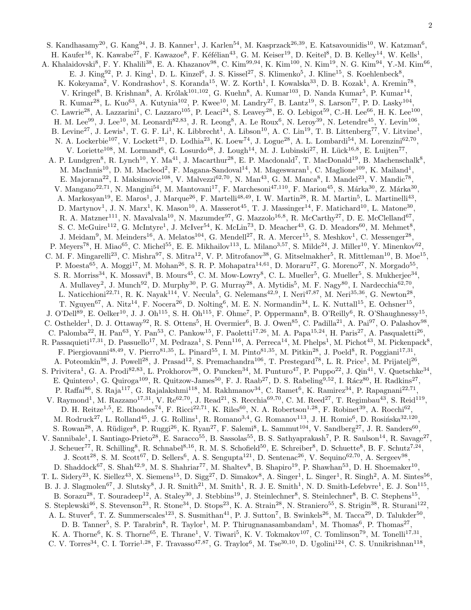S. Kandhasamy<sup>20</sup>, G. Kang<sup>94</sup>, J. B. Kanner<sup>1</sup>, J. Karlen<sup>54</sup>, M. Kasprzack<sup>26,39</sup>, E. Katsavounidis<sup>10</sup>, W. Katzman<sup>6</sup>, H. Kaufer<sup>16</sup>, K. Kawabe<sup>27</sup>, F. Kawazoe<sup>8</sup>, F. Kéfélian<sup>43</sup>, G. M. Keiser<sup>19</sup>, D. Keitel<sup>8</sup>, D. B. Kelley<sup>14</sup>, W. Kells<sup>1</sup>, A. Khalaidovski<sup>8</sup>, F. Y. Khalili<sup>38</sup>, E. A. Khazanov<sup>98</sup>, C. Kim<sup>99,94</sup>, K. Kim<sup>100</sup>, N. Kim<sup>19</sup>, N. G. Kim<sup>94</sup>, Y.-M. Kim<sup>66</sup>, E. J. King<sup>92</sup>, P. J. King<sup>1</sup>, D. L. Kinzel<sup>6</sup>, J. S. Kissel<sup>27</sup>, S. Klimenko<sup>5</sup>, J. Kline<sup>15</sup>, S. Koehlenbeck<sup>8</sup>, K. Kokeyama<sup>2</sup>, V. Kondrashov<sup>1</sup>, S. Koranda<sup>15</sup>, W. Z. Korth<sup>1</sup>, I. Kowalska<sup>33</sup>, D. B. Kozak<sup>1</sup>, A. Kremin<sup>78</sup>, V. Kringel<sup>8</sup>, B. Krishnan<sup>8</sup>, A. Królak<sup>101,102</sup>, G. Kuehn<sup>8</sup>, A. Kumar<sup>103</sup>, D. Nanda Kumar<sup>5</sup>, P. Kumar<sup>14</sup>, R. Kumar<sup>28</sup>, L. Kuo<sup>63</sup>, A. Kutynia<sup>102</sup>, P. Kwee<sup>10</sup>, M. Landry<sup>27</sup>, B. Lantz<sup>19</sup>, S. Larson<sup>77</sup>, P. D. Lasky<sup>104</sup>, C. Lawrie<sup>28</sup>, A. Lazzarini<sup>1</sup>, C. Lazzaro<sup>105</sup>, P. Leaci<sup>24</sup>, S. Leavey<sup>28</sup>, E. O. Lebigot<sup>59</sup>, C.-H. Lee<sup>66</sup>, H. K. Lee<sup>100</sup>, H. M. Lee<sup>99</sup>, J. Lee<sup>10</sup>, M. Leonardi<sup>82,83</sup>, J. R. Leong<sup>8</sup>, A. Le Roux<sup>6</sup>, N. Leroy<sup>39</sup>, N. Letendre<sup>45</sup>, Y. Levin<sup>106</sup>, B. Levine<sup>27</sup>, J. Lewis<sup>1</sup>, T. G. F. Li<sup>1</sup>, K. Libbrecht<sup>1</sup>, A. Libson<sup>10</sup>, A. C. Lin<sup>19</sup>, T. B. Littenberg<sup>77</sup>, V. Litvine<sup>1</sup>, N. A. Lockerbie<sup>107</sup>, V. Lockett<sup>21</sup>, D. Lodhia<sup>23</sup>, K. Loew<sup>74</sup>, J. Logue<sup>28</sup>, A. L. Lombardi<sup>54</sup>, M. Lorenzini<sup>62,70</sup>, V. Loriette<sup>108</sup>, M. Lormand<sup>6</sup>, G. Losurdo<sup>48</sup>, J. Lough<sup>14</sup>, M. J. Lubinski<sup>27</sup>, H. Lück<sup>16,8</sup>, E. Luijten<sup>77</sup>, A. P. Lundgren<sup>8</sup>, R. Lynch<sup>10</sup>, Y. Ma<sup>41</sup>, J. Macarthur<sup>28</sup>, E. P. Macdonald<sup>7</sup>, T. MacDonald<sup>19</sup>, B. Machenschalk<sup>8</sup>, M. MacInnis<sup>10</sup>, D. M. Macleod<sup>2</sup>, F. Magana-Sandoval<sup>14</sup>, M. Mageswaran<sup>1</sup>, C. Maglione<sup>109</sup>, K. Mailand<sup>1</sup>, E. Majorana<sup>22</sup>, I. Maksimovic<sup>108</sup>, V. Malvezzi<sup>62,70</sup>, N. Man<sup>43</sup>, G. M. Manca<sup>8</sup>, I. Mandel<sup>23</sup>, V. Mandic<sup>78</sup>, V. Mangano<sup>22,71</sup>, N. Mangini<sup>54</sup>, M. Mantovani<sup>17</sup>, F. Marchesoni<sup>47,110</sup>, F. Marion<sup>45</sup>, S. Márka<sup>30</sup>, Z. Márka<sup>30</sup>, A. Markosyan<sup>19</sup>, E. Maros<sup>1</sup>, J. Marque<sup>26</sup>, F. Martelli<sup>48,49</sup>, I. W. Martin<sup>28</sup>, R. M. Martin<sup>5</sup>, L. Martinelli<sup>43</sup>, D. Martynov<sup>1</sup>, J. N. Marx<sup>1</sup>, K. Mason<sup>10</sup>, A. Masserot<sup>45</sup>, T. J. Massinger<sup>14</sup>, F. Matichard<sup>10</sup>, L. Matone<sup>30</sup>, R. A. Matzner<sup>111</sup>, N. Mavalvala<sup>10</sup>, N. Mazumder<sup>97</sup>, G. Mazzolo<sup>16,8</sup>, R. McCarthy<sup>27</sup>, D. E. McClelland<sup>67</sup>, S. C. McGuire<sup>112</sup>, G. McIntyre<sup>1</sup>, J. McIver<sup>54</sup>, K. McLin<sup>73</sup>, D. Meacher<sup>43</sup>, G. D. Meadors<sup>60</sup>, M. Mehmet<sup>8</sup>, J. Meidam<sup>9</sup>, M. Meinders<sup>16</sup>, A. Melatos<sup>104</sup>, G. Mendell<sup>27</sup>, R. A. Mercer<sup>15</sup>, S. Meshkov<sup>1</sup>, C. Messenger<sup>28</sup>, P. Meyers<sup>78</sup>, H. Miao<sup>65</sup>, C. Michel<sup>55</sup>, E. E. Mikhailov<sup>113</sup>, L. Milano<sup>3,57</sup>, S. Milde<sup>24</sup>, J. Miller<sup>10</sup>, Y. Minenkov<sup>62</sup>, C. M. F. Mingarelli<sup>23</sup>, C. Mishra<sup>97</sup>, S. Mitra<sup>12</sup>, V. P. Mitrofanov<sup>38</sup>, G. Mitselmakher<sup>5</sup>, R. Mittleman<sup>10</sup>, B. Moe<sup>15</sup>, P. Moesta<sup>65</sup>, A. Moggi<sup>17</sup>, M. Mohan<sup>26</sup>, S. R. P. Mohapatra<sup>14,61</sup>, D. Moraru<sup>27</sup>, G. Moreno<sup>27</sup>, N. Morgado<sup>55</sup>, S. R. Morriss<sup>34</sup>, K. Mossavi<sup>8</sup>, B. Mours<sup>45</sup>, C. M. Mow-Lowry<sup>8</sup>, C. L. Mueller<sup>5</sup>, G. Mueller<sup>5</sup>, S. Mukherjee<sup>34</sup>, A. Mullavey<sup>2</sup>, J. Munch<sup>92</sup>, D. Murphy<sup>30</sup>, P. G. Murray<sup>28</sup>, A. Mytidis<sup>5</sup>, M. F. Nagy<sup>80</sup>, I. Nardecchia<sup>62,70</sup>, L. Naticchioni<sup>22,71</sup>, R. K. Nayak<sup>114</sup>, V. Necula<sup>5</sup>, G. Nelemans<sup>42,9</sup>, I. Neri<sup>47,87</sup>, M. Neri<sup>35,36</sup>, G. Newton<sup>28</sup>, T. Nguyen<sup>67</sup>, A. Nitz<sup>14</sup>, F. Nocera<sup>26</sup>, D. Nolting<sup>6</sup>, M. E. N. Normandin<sup>34</sup>, L. K. Nuttall<sup>15</sup>, E. Ochsner<sup>15</sup>, J. O'Dell<sup>89</sup>, E. Oelker<sup>10</sup>, J. J. Oh<sup>115</sup>, S. H. Oh<sup>115</sup>, F. Ohme<sup>7</sup>, P. Oppermann<sup>8</sup>, B. O'Reilly<sup>6</sup>, R. O'Shaughnessy<sup>15</sup>, C. Osthelder<sup>1</sup>, D. J. Ottaway<sup>92</sup>, R. S. Ottens<sup>5</sup>, H. Overmier<sup>6</sup>, B. J. Owen<sup>85</sup>, C. Padilla<sup>21</sup>, A. Pai<sup>97</sup>, O. Palashov<sup>98</sup>, C. Palomba<sup>22</sup>, H. Pan<sup>63</sup>, Y. Pan<sup>53</sup>, C. Pankow<sup>15</sup>, F. Paoletti<sup>17,26</sup>, M. A. Papa<sup>15,24</sup>, H. Paris<sup>27</sup>, A. Pasqualetti<sup>26</sup>, R. Passaquieti<sup>17,31</sup>, D. Passuello<sup>17</sup>, M. Pedraza<sup>1</sup>, S. Penn<sup>116</sup>, A. Perreca<sup>14</sup>, M. Phelps<sup>1</sup>, M. Pichot<sup>43</sup>, M. Pickenpack<sup>8</sup>, F. Piergiovanni<sup>48,49</sup>, V. Pierro<sup>81,35</sup>, L. Pinard<sup>55</sup>, I. M. Pinto<sup>81,35</sup>, M. Pitkin<sup>28</sup>, J. Poeld<sup>8</sup>, R. Poggiani<sup>17,31</sup>, A. Poteomkin<sup>98</sup>, J. Powell<sup>28</sup>, J. Prasad<sup>12</sup>, S. Premachandra<sup>106</sup>, T. Prestegard<sup>78</sup>, L. R. Price<sup>1</sup>, M. Prijatelj<sup>26</sup>, S. Privitera<sup>1</sup>, G. A. Prodi<sup>82,83</sup>, L. Prokhorov<sup>38</sup>, O. Puncken<sup>34</sup>, M. Punturo<sup>47</sup>, P. Puppo<sup>22</sup>, J. Qin<sup>41</sup>, V. Quetschke<sup>34</sup>, E. Quintero<sup>1</sup>, G. Quiroga<sup>109</sup>, R. Quitzow-James<sup>50</sup>, F. J. Raab<sup>27</sup>, D. S. Rabeling<sup>9,52</sup>, I. Rácz<sup>80</sup>, H. Radkins<sup>27</sup>, P. Raffai<sup>86</sup>, S. Raja<sup>117</sup>, G. Rajalakshmi<sup>118</sup>, M. Rakhmanov<sup>34</sup>, C. Ramet<sup>6</sup>, K. Ramirez<sup>34</sup>, P. Rapagnani<sup>22,71</sup>, V. Raymond<sup>1</sup>, M. Razzano<sup>17,31</sup>, V. Re<sup>62,70</sup>, J. Read<sup>21</sup>, S. Recchia<sup>69,70</sup>, C. M. Reed<sup>27</sup>, T. Regimbau<sup>43</sup>, S. Reid<sup>119</sup>, D. H. Reitze<sup>1,5</sup>, E. Rhoades<sup>74</sup>, F. Ricci<sup>22,71</sup>, K. Riles<sup>60</sup>, N. A. Robertson<sup>1,28</sup>, F. Robinet<sup>39</sup>, A. Rocchi<sup>62</sup>, M. Rodruck<sup>27</sup>, L. Rolland<sup>45</sup>, J. G. Rollins<sup>1</sup>, R. Romano<sup>3,4</sup>, G. Romanov<sup>113</sup>, J. H. Romie<sup>6</sup>, D. Rosińska<sup>32,120</sup>, S. Rowan<sup>28</sup>, A. Rüdiger<sup>8</sup>, P. Ruggi<sup>26</sup>, K. Ryan<sup>27</sup>, F. Salemi<sup>8</sup>, L. Sammut<sup>104</sup>, V. Sandberg<sup>27</sup>, J. R. Sanders<sup>60</sup>, V. Sannibale<sup>1</sup>, I. Santiago-Prieto<sup>28</sup>, E. Saracco<sup>55</sup>, B. Sassolas<sup>55</sup>, B. S. Sathyaprakash<sup>7</sup>, P. R. Saulson<sup>14</sup>, R. Savage<sup>27</sup>, J. Scheuer<sup>77</sup>, R. Schilling<sup>8</sup>, R. Schnabel<sup>8,16</sup>, R. M. S. Schofield<sup>50</sup>, E. Schreiber<sup>8</sup>, D. Schuette<sup>8</sup>, B. F. Schutz<sup>7,24</sup>, J. Scott<sup>28</sup>, S. M. Scott<sup>67</sup>, D. Sellers<sup>6</sup>, A. S. Sengupta<sup>121</sup>, D. Sentenac<sup>26</sup>, V. Sequino<sup>62,70</sup>, A. Sergeev<sup>98</sup>, D. Shaddock<sup>67</sup>, S. Shah<sup>42,9</sup>, M. S. Shahriar<sup>77</sup>, M. Shaltev<sup>8</sup>, B. Shapiro<sup>19</sup>, P. Shawhan<sup>53</sup>, D. H. Shoemaker<sup>10</sup>, T. L. Sidery<sup>23</sup>, K. Siellez<sup>43</sup>, X. Siemens<sup>15</sup>, D. Sigg<sup>27</sup>, D. Simakov<sup>8</sup>, A. Singer<sup>1</sup>, L. Singer<sup>1</sup>, R. Singh<sup>2</sup>, A. M. Sintes<sup>56</sup>, B. J. J. Slagmolen<sup>67</sup>, J. Slutsky<sup>8</sup>, J. R. Smith<sup>21</sup>, M. Smith<sup>1</sup>, R. J. E. Smith<sup>1</sup>, N. D. Smith-Lefebvre<sup>1</sup>, E. J. Son<sup>115</sup>, B. Sorazu<sup>28</sup>, T. Souradeep<sup>12</sup>, A. Staley<sup>30</sup>, J. Stebbins<sup>19</sup>, J. Steinlechner<sup>8</sup>, S. Steinlechner<sup>8</sup>, B. C. Stephens<sup>15</sup>, S. Steplewski<sup>46</sup>, S. Stevenson<sup>23</sup>, R. Stone<sup>34</sup>, D. Stops<sup>23</sup>, K. A. Strain<sup>28</sup>, N. Straniero<sup>55</sup>, S. Strigin<sup>38</sup>, R. Sturani<sup>122</sup>, A. L. Stuver<sup>6</sup>, T. Z. Summerscales<sup>123</sup>, S. Susmithan<sup>41</sup>, P. J. Sutton<sup>7</sup>, B. Swinkels<sup>26</sup>, M. Tacca<sup>29</sup>, D. Talukder<sup>50</sup>, D. B. Tanner<sup>5</sup>, S. P. Tarabrin<sup>8</sup>, R. Taylor<sup>1</sup>, M. P. Thirugnanasambandam<sup>1</sup>, M. Thomas<sup>6</sup>, P. Thomas<sup>27</sup>, K. A. Thorne<sup>6</sup>, K. S. Thorne<sup>65</sup>, E. Thrane<sup>1</sup>, V. Tiwari<sup>5</sup>, K. V. Tokmakov<sup>107</sup>, C. Tomlinson<sup>79</sup>, M. Tonelli<sup>17,31</sup>, C. V. Torres<sup>34</sup>, C. I. Torrie<sup>1,28</sup>, F. Travasso<sup>47,87</sup>, G. Traylor<sup>6</sup>, M. Tse<sup>30,10</sup>, D. Ugolini<sup>124</sup>, C. S. Unnikrishnan<sup>118</sup>,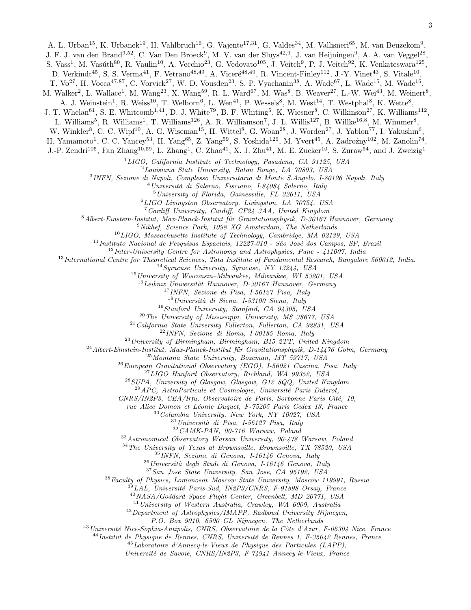J. F. J. van den Brand<sup>9,52</sup>, C. Van Den Broeck<sup>9</sup>, M. V. van der Sluys<sup>42,9</sup>, J. van Heijningen<sup>9</sup>, A. A. van Veggel<sup>28</sup>,

S. Vass<sup>1</sup>, M. Vasúth<sup>80</sup>, R. Vaulin<sup>10</sup>, A. Vecchio<sup>23</sup>, G. Vedovato<sup>105</sup>, J. Veitch<sup>9</sup>, P. J. Veitch<sup>92</sup>, K. Venkateswara<sup>125</sup>,

D. Verkindt<sup>45</sup>, S. S. Verma<sup>41</sup>, F. Vetrano<sup>48,49</sup>, A. Viceré<sup>48,49</sup>, R. Vincent-Finley<sup>112</sup>, J.-Y. Vinet<sup>43</sup>, S. Vitale<sup>10</sup>,

T.  $\text{Vo}^{27}$ , H.  $\text{Vocca}^{47,87}$ , C.  $\text{Vorwick}^{27}$ , W. D.  $\text{Vousden}^{23}$ , S. P.  $\text{Vyachanin}^{38}$ , A.  $\text{Wade}^{67}$ , L.  $\text{Wade}^{15}$ , M.  $\text{Wade}^{15}$ ,

M. Walker<sup>2</sup>, L. Wallace<sup>1</sup>, M. Wang<sup>23</sup>, X. Wang<sup>59</sup>, R. L. Ward<sup>67</sup>, M. Was<sup>8</sup>, B. Weaver<sup>27</sup>, L.-W. Wei<sup>43</sup>, M. Weinert<sup>8</sup>,

A. J. Weinstein<sup>1</sup>, R. Weiss<sup>10</sup>, T. Welborn<sup>6</sup>, L. Wen<sup>41</sup>, P. Wessels<sup>8</sup>, M. West<sup>14</sup>, T. Westphal<sup>8</sup>, K. Wette<sup>8</sup>,

J. T. Whelan<sup>61</sup>, S. E. Whitcomb<sup>1,41</sup>, D. J. White<sup>79</sup>, B. F. Whiting<sup>5</sup>, K. Wiesner<sup>8</sup>, C. Wilkinson<sup>27</sup>, K. Williams<sup>112</sup>,

L. Williams<sup>5</sup>, R. Williams<sup>1</sup>, T. Williams<sup>126</sup>, A. R. Williamson<sup>7</sup>, J. L. Willis<sup>127</sup>, B. Willke<sup>16,8</sup>, M. Wimmer<sup>8</sup>,

W. Winkler<sup>8</sup>, C. C. Wipf<sup>10</sup>, A. G. Wiseman<sup>15</sup>, H. Wittel<sup>8</sup>, G. Woan<sup>28</sup>, J. Worden<sup>27</sup>, J. Yablon<sup>77</sup>, I. Yakushin<sup>6</sup>,

H. Yamamoto<sup>1</sup>, C. C. Yancey<sup>53</sup>, H. Yang<sup>65</sup>, Z. Yang<sup>59</sup>, S. Yoshida<sup>126</sup>, M. Yvert<sup>45</sup>, A. Zadrożny<sup>102</sup>, M. Zanolin<sup>74</sup>,

J.-P. Zendri<sup>105</sup>, Fan Zhang<sup>10,59</sup>, L. Zhang<sup>1</sup>, C. Zhao<sup>41</sup>, X. J. Zhu<sup>41</sup>, M. E. Zucker<sup>10</sup>, S. Zuraw<sup>54</sup>, and J. Zweizig<sup>1</sup>

 $1LIGO, California Institute of Technology, Pasadena, CA 91125, USA$ 

 $2$ Louisiana State University, Baton Rouge, LA 70803, USA

3 INFN, Sezione di Napoli, Complesso Universitario di Monte S.Angelo, I-80126 Napoli, Italy

 $^4$ Università di Salerno, Fisciano, I-84084 Salerno, Italy

<sup>5</sup>University of Florida, Gainesville, FL 32611, USA

<sup>6</sup>LIGO Livingston Observatory, Livingston, LA 70754, USA

<sup>7</sup>Cardiff University, Cardiff, CF24 3AA, United Kingdom

 $8$ Albert-Einstein-Institut, Max-Planck-Institut für Gravitationsphysik, D-30167 Hannover, Germany

 $9$ Nikhef, Science Park, 1098 XG Amsterdam, The Netherlands

<sup>10</sup>LIGO, Massachusetts Institute of Technology, Cambridge, MA 02139, USA

 $11$ Instituto Nacional de Pesquisas Espaciais, 12227-010 - São José dos Campos, SP, Brazil

 $12$ Inter-University Centre for Astronomy and Astrophysics, Pune - 411007, India

<sup>13</sup>International Centre for Theoretical Sciences, Tata Institute of Fundamental Research, Bangalore 560012, India.

<sup>14</sup>Syracuse University, Syracuse, NY 13244, USA

 $^{15}$ University of Wisconsin-Milwaukee, Milwaukee, WI 53201, USA

 $^{16}$ Leibniz Universität Hannover, D-30167 Hannover, Germany

<sup>17</sup>INFN, Sezione di Pisa, I-56127 Pisa, Italy

 $18$ Università di Siena, I-53100 Siena, Italy

<sup>19</sup>Stanford University, Stanford, CA 94305, USA

 $^{20}$ The University of Mississippi, University, MS 38677, USA

 $^{21}$ California State University Fullerton, Fullerton, CA 92831, USA

<sup>22</sup>INFN, Sezione di Roma, I-00185 Roma, Italy

 $^{23}$ University of Birmingham, Birmingham, B15 2TT, United Kingdom

 $^{24}$  Albert-Einstein-Institut, Max-Planck-Institut für Gravitationsphysik, D-14476 Golm, Germany

<sup>25</sup>Montana State University, Bozeman, MT 59717, USA

 $^{26}$ European Gravitational Observatory (EGO), I-56021 Cascina, Pisa, Italy

 $^{27}LIGO$  Hanford Observatory, Richland, WA 99352, USA

 $^{28}$  SUPA, University of Glasgow, Glasgow, G12 8QQ, United Kingdom

 $29$ APC, AstroParticule et Cosmologie, Université Paris Diderot,

CNRS/IN2P3, CEA/Irfu, Observatoire de Paris, Sorbonne Paris Cité, 10,

rue Alice Domon et Léonie Duquet, F-75205 Paris Cedex 13, France

 $30\,Columbia$  University, New York, NY 10027, USA

 $31$ Università di Pisa, I-56127 Pisa, Italy

 $^{32}$  CAMK-PAN,  $\emph{00-716}$  Warsaw, Poland

<sup>33</sup>Astronomical Observatory Warsaw University, 00-478 Warsaw, Poland

<sup>34</sup>The University of Texas at Brownsville, Brownsville, TX 78520, USA

<sup>35</sup>INFN, Sezione di Genova, I-16146 Genova, Italy

 $36$ Università degli Studi di Genova, I-16146 Genova, Italy

<sup>37</sup>San Jose State University, San Jose, CA 95192, USA

<sup>38</sup>Faculty of Physics, Lomonosov Moscow State University, Moscow 119991, Russia

LAL, Université Paris-Sud, IN2P3/CNRS, F-91898 Orsay, France

<sup>40</sup>NASA/Goddard Space Flight Center, Greenbelt, MD 20771, USA

<sup>41</sup>University of Western Australia, Crawley, WA 6009, Australia

 $42$  Department of Astrophysics/IMAPP, Radboud University Nijmegen,

P.O. Box 9010, 6500 GL Nijmegen, The Netherlands

 $^{43}$ Université Nice-Sophia-Antipolis, CNRS, Observatoire de la Côte d'Azur, F-06304 Nice, France

 $^{44}$ Institut de Physique de Rennes, CNRS, Université de Rennes 1, F-35042 Rennes, France

 $^{45}$ Laboratoire d'Annecy-le-Vieux de Physique des Particules (LAPP),

Universit´e de Savoie, CNRS/IN2P3, F-74941 Annecy-le-Vieux, France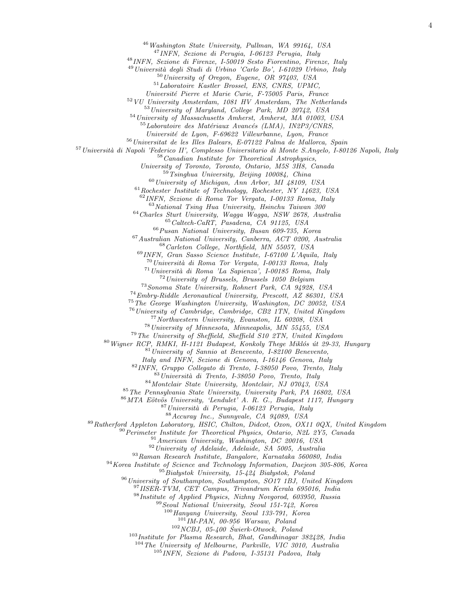Washington State University, Pullman, WA 99164, USA

INFN, Sezione di Perugia, I-06123 Perugia, Italy

INFN, Sezione di Firenze, I-50019 Sesto Fiorentino, Firenze, Italy

<sup>49</sup> Università degli Studi di Urbino 'Carlo Bo', I-61029 Urbino, Italy

University of Oregon, Eugene, OR 97403, USA

Laboratoire Kastler Brossel, ENS, CNRS, UPMC,

Universit´e Pierre et Marie Curie, F-75005 Paris, France

VU University Amsterdam, 1081 HV Amsterdam, The Netherlands

University of Maryland, College Park, MD 20742, USA

University of Massachusetts Amherst, Amherst, MA 01003, USA

 $^{55}$ Laboratoire des Matériaux Avancés (LMA), IN2P3/CNRS,

Universit´e de Lyon, F-69622 Villeurbanne, Lyon, France

Universitat de les Illes Balears, E-07122 Palma de Mallorca, Spain

<sup>57</sup> Università di Napoli 'Federico II', Complesso Universitario di Monte S.Angelo, I-80126 Napoli, Italy

Canadian Institute for Theoretical Astrophysics,

University of Toronto, Toronto, Ontario, M5S 3H8, Canada

Tsinghua University, Beijing 100084, China

University of Michigan, Ann Arbor, MI 48109, USA

Rochester Institute of Technology, Rochester, NY 14623, USA

INFN, Sezione di Roma Tor Vergata, I-00133 Roma, Italy

National Tsing Hua University, Hsinchu Taiwan 300

Charles Sturt University, Wagga Wagga, NSW 2678, Australia Caltech-CaRT, Pasadena, CA 91125, USA

 $^{66}P{}$ usan National University, Busan 609-735, Korea

Australian National University, Canberra, ACT 0200, Australia Carleton College, Northfield, MN 55057, USA

INFN, Gran Sasso Science Institute, I-67100 L'Aquila, Italy

Università di Roma Tor Vergata, I-00133 Roma, Italy

Università di Roma 'La Sapienza', I-00185 Roma, Italy

University of Brussels, Brussels 1050 Belgium

Sonoma State University, Rohnert Park, CA 94928, USA

Embry-Riddle Aeronautical University, Prescott, AZ 86301, USA

The George Washington University, Washington, DC 20052, USA

University of Cambridge, Cambridge, CB2 1TN, United Kingdom

Northwestern University, Evanston, IL 60208, USA

University of Minnesota, Minneapolis, MN 55455, USA

The University of Sheffield, Sheffield S10 2TN, United Kingdom

Wigner RCP, RMKI, H-1121 Budapest, Konkoly Thege Miklós út 29-33, Hungary

University of Sannio at Benevento, I-82100 Benevento,

Italy and INFN, Sezione di Genova, I-16146 Genova, Italy

INFN, Gruppo Collegato di Trento, I-38050 Povo, Trento, Italy

Università di Trento, I-38050 Povo, Trento, Italy

Montclair State University, Montclair, NJ 07043, USA

The Pennsylvania State University, University Park, PA 16802, USA

86 MTA Eötvös University, 'Lendulet' A. R. G., Budapest 1117, Hungary

Università di Perugia, I-06123 Perugia, Italy

Accuray Inc., Sunnyvale, CA 94089, USA

Rutherford Appleton Laboratory, HSIC, Chilton, Didcot, Oxon, OX11 0QX, United Kingdom

Perimeter Institute for Theoretical Physics, Ontario, N2L 2Y5, Canada

American University, Washington, DC 20016, USA

University of Adelaide, Adelaide, SA 5005, Australia

Raman Research Institute, Bangalore, Karnataka 560080, India

<sup>94</sup> Korea Institute of Science and Technology Information, Daejeon 305-806, Korea

 $^{95}$ Białystok University, 15-424 Białystok, Poland

University of Southampton, Southampton, SO17 1BJ, United Kingdom

IISER-TVM, CET Campus, Trivandrum Kerala 695016, India

Institute of Applied Physics, Nizhny Novgorod, 603950, Russia

Seoul National University, Seoul 151-742, Korea

Hanyang University, Seoul 133-791, Korea

IM-PAN, 00-956 Warsaw, Poland

 $102 NCBJ$ , 05-400  $\acute{S}werk-Otwock$ , Poland

Institute for Plasma Research, Bhat, Gandhinagar 382428, India

The University of Melbourne, Parkville, VIC 3010, Australia

INFN, Sezione di Padova, I-35131 Padova, Italy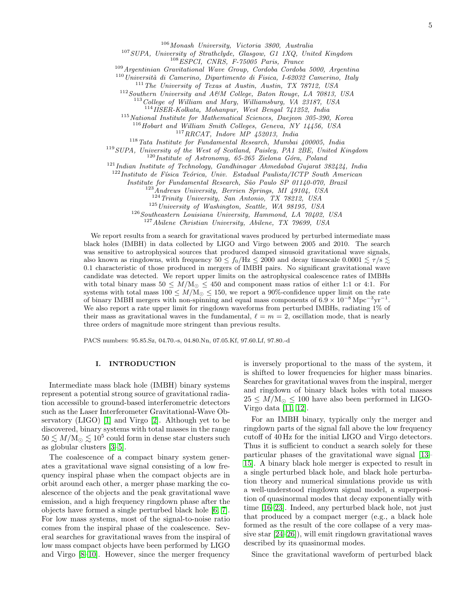<sup>106</sup>Monash University, Victoria 3800, Australia

<sup>107</sup>SUPA, University of Strathclyde, Glasgow, G1 1XQ, United Kingdom

<sup>108</sup>ESPCI, CNRS, F-75005 Paris, France

<sup>109</sup>Argentinian Gravitational Wave Group, Cordoba Cordoba 5000, Argentina

 $110$ Università di Camerino, Dipartimento di Fisica, I-62032 Camerino, Italy

<sup>111</sup>The University of Texas at Austin, Austin, TX 78712, USA

<sup>112</sup>Southern University and A&M College, Baton Rouge, LA 70813, USA

 $113 \text{ College of William and Mary, Williamsburg, VA } 23187, USA$ 

<sup>114</sup>IISER-Kolkata, Mohanpur, West Bengal 741252, India

 $115$  National Institute for Mathematical Sciences, Daejeon 305-390, Korea

 $116$  Hobart and William Smith Colleges, Geneva, NY 14456, USA

 $^{117}RRCAT, \$  Indore $MP \$  452013, India

 $118$ Tata Institute for Fundamental Research, Mumbai 400005, India

<sup>119</sup>SUPA, University of the West of Scotland, Paisley, PA1 2BE, United Kingdom

 $120$  Institute of Astronomy, 65-265 Zielona Góra, Poland

 $121$ Indian Institute of Technology, Gandhinagar Ahmedabad Gujarat 382424, India

 $122$ Instituto de Física Teórica, Univ. Estadual Paulista/ICTP South American

Institute for Fundamental Research, São Paulo SP 01140-070, Brazil

 $^{123}$ Andrews University, Berrien Springs, MI 49104, USA

<sup>124</sup>Trinity University, San Antonio, TX 78212, USA

 $125$  University of Washington, Seattle, WA 98195, USA

 $126$  Southeastern Louisiana University, Hammond, LA 70402, USA

<sup>127</sup>Abilene Christian University, Abilene, TX 79699, USA

We report results from a search for gravitational waves produced by perturbed intermediate mass black holes (IMBH) in data collected by LIGO and Virgo between 2005 and 2010. The search was sensitive to astrophysical sources that produced damped sinusoid gravitational wave signals, also known as ringdowns, with frequency  $50 \le f_0/\text{Hz} \le 2000$  and decay timescale  $0.0001 \le \tau/\text{s} \le$ 0.1 characteristic of those produced in mergers of IMBH pairs. No significant gravitational wave candidate was detected. We report upper limits on the astrophysical coalescence rates of IMBHs with total binary mass  $50 \leq M/M_{\odot} \leq 450$  and component mass ratios of either 1:1 or 4:1. For systems with total mass  $100 \leq M/\text{M}_{\odot} \leq 150$ , we report a 90%-confidence upper limit on the rate of binary IMBH mergers with non-spinning and equal mass components of  $6.9 \times 10^{-8} \text{ Mpc}^{-3} \text{yr}^{-1}$ . We also report a rate upper limit for ringdown waveforms from perturbed IMBHs, radiating 1% of their mass as gravitational waves in the fundamental,  $\ell = m = 2$ , oscillation mode, that is nearly three orders of magnitude more stringent than previous results.

PACS numbers: 95.85.Sz, 04.70.-s, 04.80.Nn, 07.05.Kf, 97.60.Lf, 97.80.-d

### I. INTRODUCTION

Intermediate mass black hole (IMBH) binary systems represent a potential strong source of gravitational radiation accessible to ground-based interferometric detectors such as the Laser Interferometer Gravitational-Wave Observatory (LIGO) [\[1\]](#page-15-0) and Virgo [\[2\]](#page-15-1). Although yet to be discovered, binary systems with total masses in the range  $50 \lesssim M/\text{M}_\odot \lesssim 10^5$  could form in dense star clusters such as globular clusters [\[3–](#page-15-2)[5\]](#page-15-3).

The coalescence of a compact binary system generates a gravitational wave signal consisting of a low frequency inspiral phase when the compact objects are in orbit around each other, a merger phase marking the coalescence of the objects and the peak gravitational wave emission, and a high frequency ringdown phase after the objects have formed a single perturbed black hole [\[6,](#page-15-4) [7\]](#page-15-5). For low mass systems, most of the signal-to-noise ratio comes from the inspiral phase of the coalescence. Several searches for gravitational waves from the inspiral of low mass compact objects have been performed by LIGO and Virgo [\[8–](#page-15-6)[10\]](#page-15-7). However, since the merger frequency

is inversely proportional to the mass of the system, it is shifted to lower frequencies for higher mass binaries. Searches for gravitational waves from the inspiral, merger and ringdown of binary black holes with total masses  $25 \leq M/\text{M}_{\odot} \leq 100$  have also been performed in LIGO-Virgo data [\[11,](#page-15-8) [12\]](#page-15-9).

For an IMBH binary, typically only the merger and ringdown parts of the signal fall above the low frequency cutoff of 40 Hz for the initial LIGO and Virgo detectors. Thus it is sufficient to conduct a search solely for these particular phases of the gravitational wave signal [\[13–](#page-15-10) [15\]](#page-15-11). A binary black hole merger is expected to result in a single perturbed black hole, and black hole perturbation theory and numerical simulations provide us with a well-understood ringdown signal model, a superposition of quasinormal modes that decay exponentially with time [\[16](#page-15-12)[–23\]](#page-15-13). Indeed, any perturbed black hole, not just that produced by a compact merger (e.g., a black hole formed as the result of the core collapse of a very massive star [\[24](#page-15-14)[–26\]](#page-15-15)), will emit ringdown gravitational waves described by its quasinormal modes.

Since the gravitational waveform of perturbed black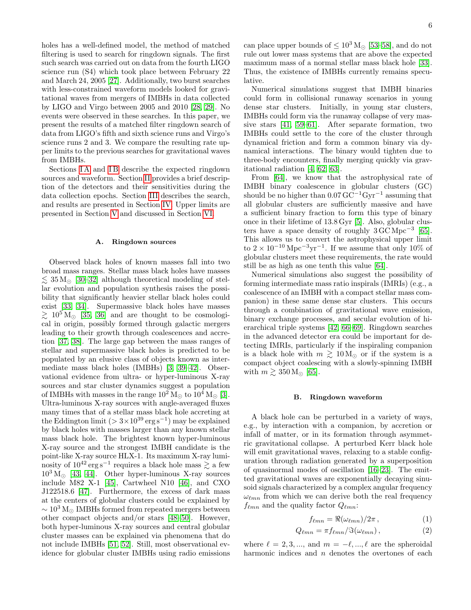holes has a well-defined model, the method of matched filtering is used to search for ringdown signals. The first such search was carried out on data from the fourth LIGO science run (S4) which took place between February 22 and March 24, 2005 [\[27\]](#page-15-16). Additionally, two burst searches with less-constrained waveform models looked for gravitational waves from mergers of IMBHs in data collected by LIGO and Virgo between 2005 and 2010 [\[28,](#page-15-17) [29\]](#page-15-18). No events were observed in these searches. In this paper, we present the results of a matched filter ringdown search of data from LIGO's fifth and sixth science runs and Virgo's science runs 2 and 3. We compare the resulting rate upper limits to the previous searches for gravitational waves from IMBHs.

Sections IA and IB describe the expected ringdown sources and waveform. Section [II](#page-6-0) provides a brief description of the detectors and their sensitivities during the data collection epochs. Section [III](#page-7-0) describes the search, and results are presented in Section [IV.](#page-10-0) Upper limits are presented in Section [V](#page-10-1) and discussed in Section [VI.](#page-13-0)

#### <span id="page-5-0"></span>A. Ringdown sources

Observed black holes of known masses fall into two broad mass ranges. Stellar mass black holes have masses  $\lesssim 35 \,\rm M_\odot$  [\[30](#page-15-19)[–32\]](#page-15-20) although theoretical modeling of stellar evolution and population synthesis raises the possibility that significantly heavier stellar black holes could exist [\[33,](#page-15-21) [34\]](#page-15-22). Supermassive black holes have masses  $\gtrsim 10^5$  M<sub>o</sub> [\[35,](#page-15-23) [36\]](#page-15-24) and are thought to be cosmological in origin, possibly formed through galactic mergers leading to their growth through coalescences and accretion [\[37,](#page-15-25) [38\]](#page-16-0). The large gap between the mass ranges of stellar and supermassive black holes is predicted to be populated by an elusive class of objects known as intermediate mass black holes (IMBHs) [\[3,](#page-15-2) [39](#page-16-1)[–42\]](#page-16-2). Observational evidence from ultra- or hyper-luminous X-ray sources and star cluster dynamics suggest a population of IMBHs with masses in the range  $10^2$  M<sub> $\odot$ </sub> to  $10^4$  M<sub> $\odot$ </sub> [\[3\]](#page-15-2). Ultra-luminous X-ray sources with angle-averaged fluxes many times that of a stellar mass black hole accreting at the Eddington limit  $(>3\times10^{39}\,\text{erg}\,\text{s}^{-1})$  may be explained by black holes with masses larger than any known stellar mass black hole. The brightest known hyper-luminous X-ray source and the strongest IMBH candidate is the point-like X-ray source HLX-1. Its maximum X-ray luminosity of  $10^{42} \text{ erg s}^{-1}$  requires a black hole mass  $\geq$  a few  $10^3 \,\mathrm{M}_{\odot}$  [\[43,](#page-16-3) [44\]](#page-16-4). Other hyper-luminous X-ray sources include M82 X-1 [\[45\]](#page-16-5), Cartwheel N10 [\[46\]](#page-16-6), and CXO J122518.6 [\[47\]](#page-16-7). Furthermore, the excess of dark mass at the centers of globular clusters could be explained by  $\sim 10^3 \,\mathrm{M}_{\odot}$  IMBHs formed from repeated mergers between other compact objects and/or stars [\[48–](#page-16-8)[50\]](#page-16-9). However, both hyper-luminous X-ray sources and central globular cluster masses can be explained via phenomena that do not include IMBHs [\[51,](#page-16-10) [52\]](#page-16-11). Still, most observational evidence for globular cluster IMBHs using radio emissions

can place upper bounds of  $\leq 10^3$  M<sub> $\odot$ </sub> [\[53–](#page-16-12)[58\]](#page-16-13), and do not rule out lower mass systems that are above the expected maximum mass of a normal stellar mass black hole [\[33\]](#page-15-21). Thus, the existence of IMBHs currently remains speculative.

Numerical simulations suggest that IMBH binaries could form in collisional runaway scenarios in young dense star clusters. Initially, in young star clusters, IMBHs could form via the runaway collapse of very massive stars [\[41,](#page-16-14) [59](#page-16-15)[–61\]](#page-16-16). After separate formation, two IMBHs could settle to the core of the cluster through dynamical friction and form a common binary via dynamical interactions. The binary would tighten due to three-body encounters, finally merging quickly via gravitational radiation [\[4,](#page-15-26) [62,](#page-16-17) [63\]](#page-16-18).

From [\[64\]](#page-16-19), we know that the astrophysical rate of IMBH binary coalescence in globular clusters (GC) should be no higher than  $0.07 \text{ GC}^{-1}\text{Gyr}^{-1}$  assuming that all globular clusters are sufficiently massive and have a sufficient binary fraction to form this type of binary once in their lifetime of 13.8 Gyr [\[5\]](#page-15-3). Also, globular clusters have a space density of roughly  $3 \text{ GC Mpc}^{-3}$  [\[65\]](#page-16-20). This allows us to convert the astrophysical upper limit to  $2 \times 10^{-10}$  Mpc<sup>-3</sup>yr<sup>-1</sup>. If we assume that only 10% of globular clusters meet these requirements, the rate would still be as high as one tenth this value [\[64\]](#page-16-19).

Numerical simulations also suggest the possibility of forming intermediate mass ratio inspirals (IMRIs) (e.g., a coalescence of an IMBH with a compact stellar mass companion) in these same dense star clusters. This occurs through a combination of gravitational wave emission, binary exchange processes, and secular evolution of hierarchical triple systems [\[42,](#page-16-2) [66–](#page-16-21)[69\]](#page-16-22). Ringdown searches in the advanced detector era could be important for detecting IMRIs, particularly if the inspiraling companion is a black hole with  $m \gtrsim 10 \,\mathrm{M}_{\odot}$  or if the system is a compact object coalescing with a slowly-spinning IMBH with  $m \gtrsim 350 \,\mathrm{M}_{\odot}$  [\[65\]](#page-16-20).

#### <span id="page-5-1"></span>B. Ringdown waveform

A black hole can be perturbed in a variety of ways, e.g., by interaction with a companion, by accretion or infall of matter, or in its formation through asymmetric gravitational collapse. A perturbed Kerr black hole will emit gravitational waves, relaxing to a stable configuration through radiation generated by a superposition of quasinormal modes of oscillation [\[16–](#page-15-12)[23\]](#page-15-13). The emitted gravitational waves are exponentially decaying sinusoid signals characterized by a complex angular frequency  $\omega_{\ell mn}$  from which we can derive both the real frequency  $f_{\ell mn}$  and the quality factor  $Q_{\ell mn}$ :

$$
f_{\ell mn} = \Re(\omega_{\ell mn})/2\pi , \qquad (1)
$$

$$
Q_{\ell mn} = \pi f_{\ell mn} / \Im(\omega_{\ell mn}), \qquad (2)
$$

where  $\ell = 2, 3, ...,$  and  $m = -\ell, ..., \ell$  are the spheroidal harmonic indices and  $n$  denotes the overtones of each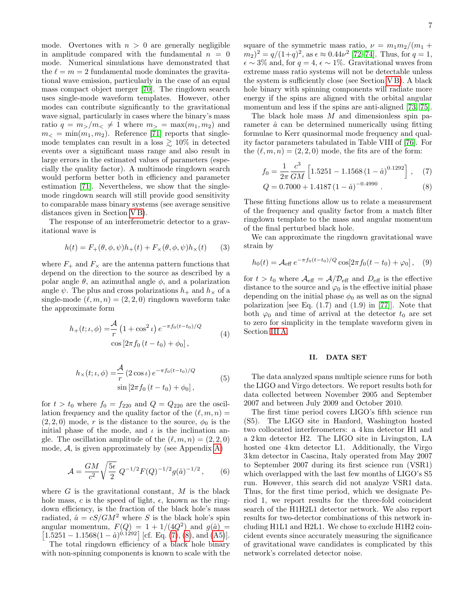mode. Overtones with  $n > 0$  are generally negligible in amplitude compared with the fundamental  $n = 0$ mode. Numerical simulations have demonstrated that the  $\ell = m = 2$  fundamental mode dominates the gravitational wave emission, particularly in the case of an equal mass compact object merger [\[70\]](#page-16-23). The ringdown search uses single-mode waveform templates. However, other modes can contribute significantly to the gravitational wave signal, particularly in cases where the binary's mass ratio  $q = m_>/m_< \neq 1$  where  $m_> = \max(m_1, m_2)$  and  $m_{\leq} = \min(m_1, m_2)$ . Reference [\[71\]](#page-16-24) reports that singlemode templates can result in a loss  $\gtrsim 10\%$  in detected events over a significant mass range and also result in large errors in the estimated values of parameters (especially the quality factor). A multimode ringdown search would perform better both in efficiency and parameter estimation [\[71\]](#page-16-24). Nevertheless, we show that the singlemode ringdown search will still provide good sensitivity to comparable mass binary systems (see average sensitive distances given in Section [V B\)](#page-11-0).

The response of an interferometric detector to a gravitational wave is

<span id="page-6-3"></span>
$$
h(t) = F_{+}(\theta, \phi, \psi)h_{+}(t) + F_{\times}(\theta, \phi, \psi)h_{\times}(t)
$$
 (3)

where  $F_+$  and  $F_\times$  are the antenna pattern functions that depend on the direction to the source as described by a polar angle  $\theta$ , an azimuthal angle  $\phi$ , and a polarization angle  $\psi$ . The plus and cross polarizations  $h_+$  and  $h_{\times}$  of a single-mode  $(\ell, m, n) = (2, 2, 0)$  ringdown waveform take the approximate form

<span id="page-6-4"></span>
$$
h_{+}(t; \iota, \phi) = \frac{\mathcal{A}}{r} \left( 1 + \cos^{2} \iota \right) e^{-\pi f_{0}(t - t_{0})/Q}
$$
  

$$
\cos \left[ 2\pi f_{0} \left( t - t_{0} \right) + \phi_{0} \right],
$$
 (4)

$$
h_{\times}(t; \iota, \phi) = \frac{\mathcal{A}}{r} (2 \cos \iota) e^{-\pi f_0 (t - t_0)/Q}
$$
  
 
$$
\sin [2\pi f_0 (t - t_0) + \phi_0],
$$
 (5)

<span id="page-6-5"></span>for  $t > t_0$  where  $f_0 = f_{220}$  and  $Q = Q_{220}$  are the oscillation frequency and the quality factor of the  $(\ell, m, n) =$  $(2, 2, 0)$  mode, r is the distance to the source,  $\phi_0$  is the initial phase of the mode, and  $\iota$  is the inclination angle. The oscillation amplitude of the  $(\ell, m, n) = (2, 2, 0)$ mode,  $A$ , is given approximately by (see Appendix [A\)](#page-14-0)

$$
\mathcal{A} = \frac{GM}{c^2} \sqrt{\frac{5\epsilon}{2}} Q^{-1/2} F(Q)^{-1/2} g(\hat{a})^{-1/2}, \qquad (6)
$$

where  $G$  is the gravitational constant,  $M$  is the black hole mass, c is the speed of light,  $\epsilon$ , known as the ringdown efficiency, is the fraction of the black hole's mass radiated,  $\hat{a} = cS/GM^2$  where S is the black hole's spin angular momentum,  $F(Q) = 1 + 1/(4Q^2)$  and  $g(\hat{a}) =$  $\left[1.5251 - 1.1568(1 - \hat{a})^{0.1292}\right]$  [cf. Eq. [\(7\)](#page-6-1), [\(8\)](#page-6-1), and [\(A5\)](#page-14-1)].

The total ringdown efficiency of a black hole binary with non-spinning components is known to scale with the square of the symmetric mass ratio,  $\nu = m_1 m_2/(m_1 +$  $(m_2)^2 = q/(1+q)^2$ , as  $\epsilon \approx 0.44\nu^2$  [\[72–](#page-16-25)[74\]](#page-16-26). Thus, for  $q = 1$ ,  $\epsilon \sim 3\%$  and, for  $q = 4$ ,  $\epsilon \sim 1\%$ . Gravitational waves from extreme mass ratio systems will not be detectable unless the system is sufficiently close (see Section [V B\)](#page-11-0). A black hole binary with spinning components will radiate more energy if the spins are aligned with the orbital angular momentum and less if the spins are anti-aligned [\[73,](#page-16-27) [75\]](#page-16-28).

The black hole mass  $M$  and dimensionless spin parameter  $\hat{a}$  can be determined numerically using fitting formulae to Kerr quasinormal mode frequency and quality factor parameters tabulated in Table VIII of [\[76\]](#page-16-29). For the  $(\ell, m, n) = (2, 2, 0)$  mode, the fits are of the form:

$$
f_0 = \frac{1}{2\pi} \frac{c^3}{GM} \left[ 1.5251 - 1.1568 \left( 1 - \hat{a} \right)^{0.1292} \right], \quad (7)
$$

<span id="page-6-1"></span>
$$
Q = 0.7000 + 1.4187 (1 - \hat{a})^{-0.4990} . \tag{8}
$$

These fitting functions allow us to relate a measurement of the frequency and quality factor from a match filter ringdown template to the mass and angular momentum of the final perturbed black hole.

We can approximate the ringdown gravitational wave strain by

<span id="page-6-2"></span>
$$
h_0(t) = \mathcal{A}_{\text{eff}} e^{-\pi f_0(t - t_0)/Q} \cos[2\pi f_0(t - t_0) + \varphi_0], \quad (9)
$$

for  $t > t_0$  where  $\mathcal{A}_{\text{eff}} = \mathcal{A}/\mathcal{D}_{\text{eff}}$  and  $D_{\text{eff}}$  is the effective distance to the source and  $\varphi_0$  is the effective initial phase depending on the initial phase  $\phi_0$  as well as on the signal polarization [see Eq.  $(1.7)$  and  $(1.9)$  in [\[77\]](#page-16-30)]. Note that both  $\varphi_0$  and time of arrival at the detector  $t_0$  are set to zero for simplicity in the template waveform given in Section [III A.](#page-7-1)

# <span id="page-6-0"></span>II. DATA SET

The data analyzed spans multiple science runs for both the LIGO and Virgo detectors. We report results both for data collected between November 2005 and September 2007 and between July 2009 and October 2010.

The first time period covers LIGO's fifth science run (S5). The LIGO site in Hanford, Washington hosted two collocated interferometers: a 4 km detector H1 and a 2 km detector H2. The LIGO site in Livingston, LA hosted one 4 km detector L1. Additionally, the Virgo 3 km detector in Cascina, Italy operated from May 2007 to September 2007 during its first science run (VSR1) which overlapped with the last few months of LIGO's S5 run. However, this search did not analyze VSR1 data. Thus, for the first time period, which we designate Period 1, we report results for the three-fold coincident search of the H1H2L1 detector network. We also report results for two-detector combinations of this network including H1L1 and H2L1. We chose to exclude H1H2 coincident events since accurately measuring the significance of gravitational wave candidates is complicated by this network's correlated detector noise.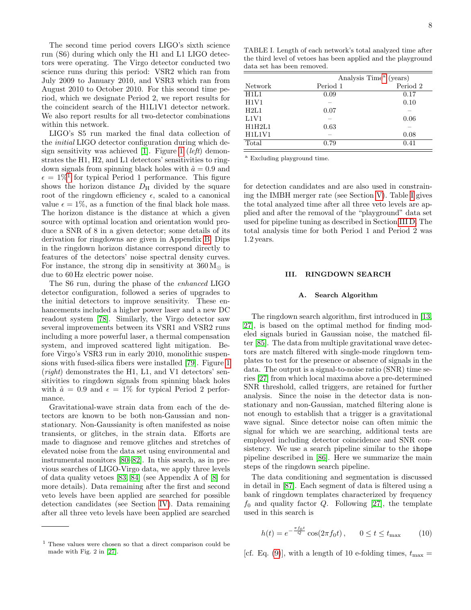The second time period covers LIGO's sixth science run (S6) during which only the H1 and L1 LIGO detectors were operating. The Virgo detector conducted two science runs during this period: VSR2 which ran from July 2009 to January 2010, and VSR3 which ran from August 2010 to October 2010. For this second time period, which we designate Period 2, we report results for the coincident search of the H1L1V1 detector network. We also report results for all two-detector combinations within this network.

LIGO's S5 run marked the final data collection of the initial LIGO detector configuration during which de-sign sensitivity was achieved [\[1\]](#page-15-0). Figure [1](#page-8-0) (*left*) demonstrates the H1, H2, and L1 detectors' sensitivities to ringdown signals from spinning black holes with  $\hat{a} = 0.9$  and  $\epsilon = 1\%$  $\epsilon = 1\%$  $\epsilon = 1\%$ <sup>1</sup> for typical Period 1 performance. This figure shows the horizon distance  $D_{\rm H}$  divided by the square root of the ringdown efficiency  $\epsilon$ , scaled to a canonical value  $\epsilon = 1\%$ , as a function of the final black hole mass. The horizon distance is the distance at which a given source with optimal location and orientation would produce a SNR of 8 in a given detector; some details of its derivation for ringdowns are given in Appendix [B.](#page-14-2) Dips in the ringdown horizon distance correspond directly to features of the detectors' noise spectral density curves. For instance, the strong dip in sensitivity at  $360 M_{\odot}$  is due to 60 Hz electric power noise.

The S6 run, during the phase of the enhanced LIGO detector configuration, followed a series of upgrades to the initial detectors to improve sensitivity. These enhancements included a higher power laser and a new DC readout system [\[78\]](#page-16-31). Similarly, the Virgo detector saw several improvements between its VSR1 and VSR2 runs including a more powerful laser, a thermal compensation system, and improved scattered light mitigation. Before Virgo's VSR3 run in early 2010, monolithic suspensions with fused-silica fibers were installed [\[79\]](#page-16-32). Figure [1](#page-8-0) (right) demonstrates the H1, L1, and V1 detectors' sensitivities to ringdown signals from spinning black holes with  $\hat{a} = 0.9$  and  $\epsilon = 1\%$  for typical Period 2 performance.

Gravitational-wave strain data from each of the detectors are known to be both non-Gaussian and nonstationary. Non-Gaussianity is often manifested as noise transients, or glitches, in the strain data. Efforts are made to diagnose and remove glitches and stretches of elevated noise from the data set using environmental and instrumental monitors [\[80–](#page-16-33)[82\]](#page-16-34). In this search, as in previous searches of LIGO-Virgo data, we apply three levels of data quality vetoes [\[83,](#page-16-35) [84\]](#page-16-36) (see Appendix A of [\[8\]](#page-15-6) for more details). Data remaining after the first and second veto levels have been applied are searched for possible detection candidates (see Section [IV\)](#page-10-0). Data remaining after all three veto levels have been applied are searched

<span id="page-7-4"></span>TABLE I. Length of each network's total analyzed time after the third level of vetoes has been applied and the playground data set has been removed.

| Analysis Time <sup>a</sup> (years) |  |  |
|------------------------------------|--|--|
| Period 2                           |  |  |
|                                    |  |  |
|                                    |  |  |
|                                    |  |  |
|                                    |  |  |
|                                    |  |  |
|                                    |  |  |
|                                    |  |  |
|                                    |  |  |

<span id="page-7-3"></span><sup>a</sup> Excluding playground time.

for detection candidates and are also used in constraining the IMBH merger rate (see Section [V\)](#page-10-1). Table [I](#page-7-4) gives the total analyzed time after all three veto levels are applied and after the removal of the "playground" data set used for pipeline tuning as described in Section [III D.](#page-9-0) The total analysis time for both Period 1 and Period 2 was 1.2 years.

# <span id="page-7-0"></span>III. RINGDOWN SEARCH

## <span id="page-7-1"></span>A. Search Algorithm

The ringdown search algorithm, first introduced in [\[13,](#page-15-10) [27\]](#page-15-16), is based on the optimal method for finding modeled signals buried in Gaussian noise, the matched filter [\[85\]](#page-16-37). The data from multiple gravitational wave detectors are match filtered with single-mode ringdown templates to test for the presence or absence of signals in the data. The output is a signal-to-noise ratio (SNR) time series [\[27\]](#page-15-16) from which local maxima above a pre-determined SNR threshold, called triggers, are retained for further analysis. Since the noise in the detector data is nonstationary and non-Gaussian, matched filtering alone is not enough to establish that a trigger is a gravitational wave signal. Since detector noise can often mimic the signal for which we are searching, additional tests are employed including detector coincidence and SNR consistency. We use a search pipeline similar to the ihope pipeline described in [\[86\]](#page-16-38). Here we summarize the main steps of the ringdown search pipeline.

The data conditioning and segmentation is discussed in detail in [\[87\]](#page-16-39). Each segment of data is filtered using a bank of ringdown templates characterized by frequency  $f_0$  and quality factor  $Q$ . Following [\[27\]](#page-15-16), the template used in this search is

$$
h(t) = e^{-\frac{\pi f_0 t}{Q}} \cos(2\pi f_0 t), \qquad 0 \le t \le t_{\text{max}} \tag{10}
$$

[cf. Eq. [\(9\)](#page-6-2)], with a length of 10 e-folding times,  $t_{\text{max}} =$ 

<span id="page-7-2"></span><sup>1</sup> These values were chosen so that a direct comparison could be made with Fig. 2 in [\[27\]](#page-15-16).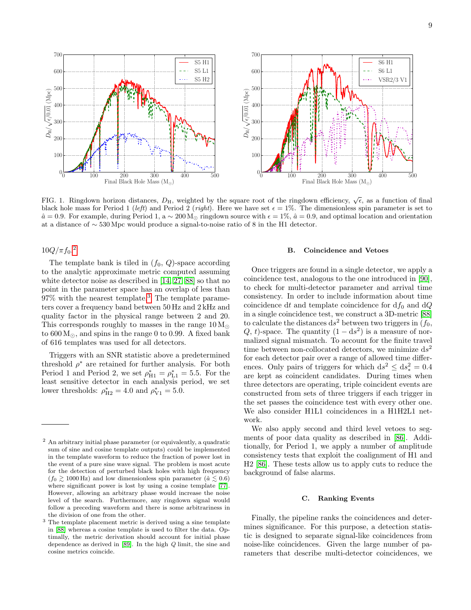

<span id="page-8-0"></span>FIG. 1. Ringdown horizon distances,  $D_H$ , weighted by the square root of the ringdown efficiency,  $\sqrt{\epsilon}$ , as a function of final black hole mass for Period 1 (left) and Period 2 (right). Here we have set  $\epsilon = 1\%$ . The dimensionless spin parameter is set to  $\hat{a} = 0.9$ . For example, during Period 1, a ~ 200 M<sub>o</sub> ringdown source with  $\epsilon = 1\%$ ,  $\hat{a} = 0.9$ , and optimal location and orientation at a distance of ∼ 530 Mpc would produce a signal-to-noise ratio of 8 in the H1 detector.

 $10Q/\pi f_0$ <sup>[2](#page-8-1)</sup>

The template bank is tiled in  $(f_0, Q)$ -space according to the analytic approximate metric computed assuming white detector noise as described in [\[14,](#page-15-27) [27,](#page-15-16) [88\]](#page-16-40) so that no point in the parameter space has an overlap of less than 97% with the nearest template.[3](#page-8-2) The template parameters cover a frequency band between 50 Hz and 2 kHz and quality factor in the physical range between 2 and 20. This corresponds roughly to masses in the range  $10 M_{\odot}$ to  $600 M_{\odot}$ , and spins in the range 0 to 0.99. A fixed bank of 616 templates was used for all detectors.

Triggers with an SNR statistic above a predetermined threshold  $\rho^*$  are retained for further analysis. For both Period 1 and Period 2, we set  $\rho_{H1}^* = \rho_{L1}^* = 5.5$ . For the least sensitive detector in each analysis period, we set lower thresholds:  $\rho_{\text{H2}}^* = 4.0$  and  $\rho_{\text{V1}}^* = 5.0$ .

# B. Coincidence and Vetoes

Once triggers are found in a single detector, we apply a coincidence test, analogous to the one introduced in [\[90\]](#page-16-42), to check for multi-detector parameter and arrival time consistency. In order to include information about time coincidence dt and template coincidence for  $df_0$  and  $dQ$ in a single coincidence test, we construct a 3D-metric [\[88\]](#page-16-40) to calculate the distances  $ds^2$  between two triggers in  $(f_0,$ Q, t)-space. The quantity  $(1 - ds^2)$  is a measure of normalized signal mismatch. To account for the finite travel time between non-collocated detectors, we minimize  $ds^2$ for each detector pair over a range of allowed time differences. Only pairs of triggers for which  $ds^2 \le ds_*^2 = 0.4$ are kept as coincident candidates. During times when three detectors are operating, triple coincident events are constructed from sets of three triggers if each trigger in the set passes the coincidence test with every other one. We also consider H1L1 coincidences in a H1H2L1 network.

We also apply second and third level vetoes to segments of poor data quality as described in [\[86\]](#page-16-38). Additionally, for Period 1, we apply a number of amplitude consistency tests that exploit the coalignment of H1 and H2 [\[86\]](#page-16-38). These tests allow us to apply cuts to reduce the background of false alarms.

## C. Ranking Events

Finally, the pipeline ranks the coincidences and determines significance. For this purpose, a detection statistic is designed to separate signal-like coincidences from noise-like coincidences. Given the large number of parameters that describe multi-detector coincidences, we

<span id="page-8-1"></span><sup>2</sup> An arbitrary initial phase parameter (or equivalently, a quadratic sum of sine and cosine template outputs) could be implemented in the template waveform to reduce the fraction of power lost in the event of a pure sine wave signal. The problem is most acute for the detection of perturbed black holes with high frequency  $(f_0 \ge 1000 \text{ Hz})$  and low dimensionless spin parameter  $(\hat{a} \le 0.6)$ where significant power is lost by using a cosine template [\[77\]](#page-16-30). However, allowing an arbitrary phase would increase the noise level of the search. Furthermore, any ringdown signal would follow a preceding waveform and there is some arbitrariness in the division of one from the other.

<span id="page-8-2"></span> $^3$  The template placement metric is derived using a sine template in [\[88\]](#page-16-40) whereas a cosine template is used to filter the data. Optimally, the metric derivation should account for initial phase dependence as derived in [\[89\]](#page-16-41). In the high Q limit, the sine and cosine metrics coincide.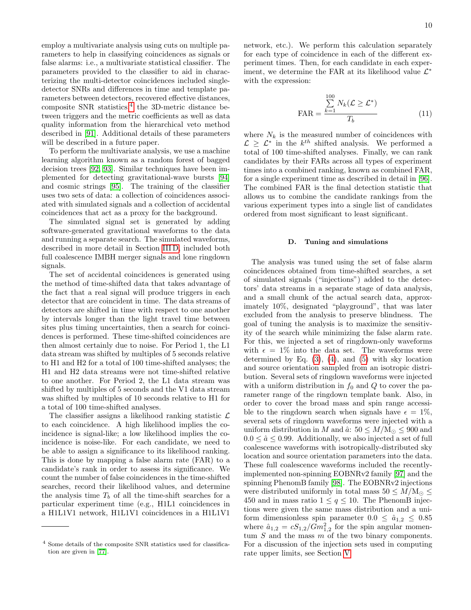employ a multivariate analysis using cuts on multiple parameters to help in classifying coincidences as signals or false alarms: i.e., a multivariate statistical classifier. The parameters provided to the classifier to aid in characterizing the multi-detector coincidences included singledetector SNRs and differences in time and template parameters between detectors, recovered effective distances, composite SNR statistics,<sup>[4](#page-9-1)</sup> the 3D-metric distance between triggers and the metric coefficients as well as data quality information from the hierarchical veto method described in [\[91\]](#page-16-43). Additional details of these parameters will be described in a future paper.

To perform the multivariate analysis, we use a machine learning algorithm known as a random forest of bagged decision trees [\[92,](#page-16-44) [93\]](#page-16-45). Similar techniques have been implemented for detecting gravitational-wave bursts [\[94\]](#page-17-0) and cosmic strings [\[95\]](#page-17-1). The training of the classifier uses two sets of data: a collection of coincidences associated with simulated signals and a collection of accidental coincidences that act as a proxy for the background.

The simulated signal set is generated by adding software-generated gravitational waveforms to the data and running a separate search. The simulated waveforms, described in more detail in Section [III D,](#page-9-0) included both full coalescence IMBH merger signals and lone ringdown signals.

The set of accidental coincidences is generated using the method of time-shifted data that takes advantage of the fact that a real signal will produce triggers in each detector that are coincident in time. The data streams of detectors are shifted in time with respect to one another by intervals longer than the light travel time between sites plus timing uncertainties, then a search for coincidences is performed. These time-shifted coincidences are then almost certainly due to noise. For Period 1, the L1 data stream was shifted by multiples of 5 seconds relative to H1 and H2 for a total of 100 time-shifted analyses; the H1 and H2 data streams were not time-shifted relative to one another. For Period 2, the L1 data stream was shifted by multiples of 5 seconds and the V1 data stream was shifted by multiples of 10 seconds relative to H1 for a total of 100 time-shifted analyses.

The classifier assigns a likelihood ranking statistic  $\mathcal{L}$ to each coincidence. A high likelihood implies the coincidence is signal-like; a low likelihood implies the coincidence is noise-like. For each candidate, we need to be able to assign a significance to its likelihood ranking. This is done by mapping a false alarm rate (FAR) to a candidate's rank in order to assess its significance. We count the number of false coincidences in the time-shifted searches, record their likelihood values, and determine the analysis time  $T_b$  of all the time-shift searches for a particular experiment time (e.g., H1L1 coincidences in a H1L1V1 network, H1L1V1 coincidences in a H1L1V1

network, etc.). We perform this calculation separately for each type of coincidence in each of the different experiment times. Then, for each candidate in each experiment, we determine the FAR at its likelihood value  $\mathcal{L}^*$ with the expression:

$$
\text{FAR} = \frac{\sum_{k=1}^{100} N_k (\mathcal{L} \ge \mathcal{L}^*)}{T_b} \tag{11}
$$

where  $N_k$  is the measured number of coincidences with  $\mathcal{L} \geq \mathcal{L}^*$  in the  $k^{th}$  shifted analysis. We performed a total of 100 time-shifted analyses. Finally, we can rank candidates by their FARs across all types of experiment times into a combined ranking, known as combined FAR, for a single experiment time as described in detail in [\[96\]](#page-17-2). The combined FAR is the final detection statistic that allows us to combine the candidate rankings from the various experiment types into a single list of candidates ordered from most significant to least significant.

#### <span id="page-9-0"></span>D. Tuning and simulations

The analysis was tuned using the set of false alarm coincidences obtained from time-shifted searches, a set of simulated signals ("injections") added to the detectors' data streams in a separate stage of data analysis, and a small chunk of the actual search data, approximately 10%, designated "playground", that was later excluded from the analysis to preserve blindness. The goal of tuning the analysis is to maximize the sensitivity of the search while minimizing the false alarm rate. For this, we injected a set of ringdown-only waveforms with  $\epsilon = 1\%$  into the data set. The waveforms were determined by Eq.  $(3)$ ,  $(4)$ , and  $(5)$  with sky location and source orientation sampled from an isotropic distribution. Several sets of ringdown waveforms were injected with a uniform distribution in  $f_0$  and Q to cover the parameter range of the ringdown template bank. Also, in order to cover the broad mass and spin range accessible to the ringdown search when signals have  $\epsilon = 1\%$ , several sets of ringdown waveforms were injected with a uniform distribution in M and  $\hat{a}$ : 50  $\leq M/M_{\odot} \leq 900$  and  $0.0 \leq \hat{a} \leq 0.99$ . Additionally, we also injected a set of full coalescence waveforms with isotropically-distributed sky location and source orientation parameters into the data. These full coalescence waveforms included the recentlyimplemented non-spinning EOBNRv2 family [\[97\]](#page-17-3) and the spinning PhenomB family [\[98\]](#page-17-4). The EOBNRv2 injections were distributed uniformly in total mass  $50 \leq M/\text{M}_{\odot} \leq$ 450 and in mass ratio  $1 \le q \le 10$ . The PhenomB injections were given the same mass distribution and a uniform dimensionless spin parameter  $0.0 \le \hat{a}_{1,2} \le 0.85$ where  $\hat{a}_{1,2} = cS_{1,2}/Gm_{1,2}^2$  for the spin angular momentum  $S$  and the mass  $m$  of the two binary components. For a discussion of the injection sets used in computing rate upper limits, see Section [V.](#page-10-1)

<span id="page-9-1"></span><sup>4</sup> Some details of the composite SNR statistics used for classification are given in [\[77\]](#page-16-30).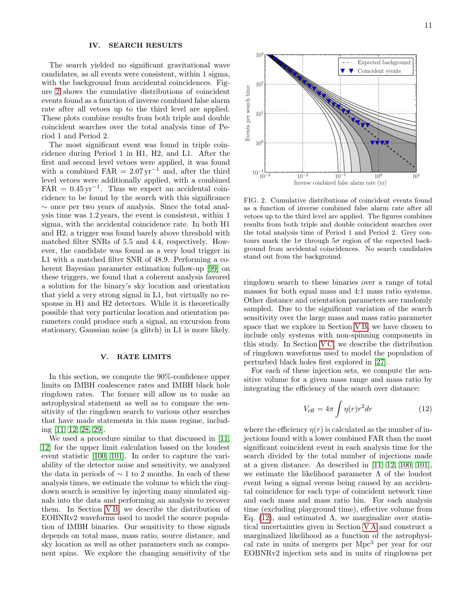# <span id="page-10-0"></span>IV. SEARCH RESULTS

The search yielded no significant gravitational wave candidates, as all events were consistent, within 1 sigma, with the background from accidental coincidences. Figure [2](#page-10-2) shows the cumulative distributions of coincident events found as a function of inverse combined false alarm rate after all vetoes up to the third level are applied. These plots combine results from both triple and double coincident searches over the total analysis time of Period 1 and Period 2.

The most significant event was found in triple coincidence during Period 1 in H1, H2, and L1. After the first and second level vetoes were applied, it was found with a combined FAR =  $2.07 \,\text{yr}^{-1}$  and, after the third level vetoes were additionally applied, with a combined  $FAR = 0.45 \,\text{yr}^{-1}$ . Thus we expect an accidental coincidence to be found by the search with this significance ∼ once per two years of analysis. Since the total analysis time was 1.2 years, the event is consistent, within 1 sigma, with the accidental coincidence rate. In both H1 and H2, a trigger was found barely above threshold with matched filter SNRs of 5.5 and 4.4, respectively. However, the candidate was found as a very loud trigger in L1 with a matched filter SNR of 48.9. Performing a coherent Bayesian parameter estimation follow-up [\[99\]](#page-17-5) on these triggers, we found that a coherent analysis favored a solution for the binary's sky location and orientation that yield a very strong signal in L1, but virtually no response in H1 and H2 detectors. While it is theoretically possible that very particular location and orientation parameters could produce such a signal, an excursion from stationary, Gaussian noise (a glitch) in L1 is more likely.

# <span id="page-10-1"></span>V. RATE LIMITS

In this section, we compute the 90%-confidence upper limits on IMBH coalescence rates and IMBH black hole ringdown rates. The former will allow us to make an astrophysical statement as well as to compare the sensitivity of the ringdown search to various other searches that have made statements in this mass regime, including [\[11,](#page-15-8) [12,](#page-15-9) [28,](#page-15-17) [29\]](#page-15-18).

We used a procedure similar to that discussed in [\[11,](#page-15-8) [12\]](#page-15-9) for the upper limit calculation based on the loudest event statistic [\[100,](#page-17-6) [101\]](#page-17-7). In order to capture the variability of the detector noise and sensitivity, we analyzed the data in periods of  $\sim$  1 to 2 months. In each of these analysis times, we estimate the volume to which the ringdown search is sensitive by injecting many simulated signals into the data and performing an analysis to recover them. In Section [V B,](#page-11-0) we describe the distribution of EOBNRv2 waveforms used to model the source population of IMBH binaries. Our sensitivity to these signals depends on total mass, mass ratio, source distance, and sky location as well as other parameters such as component spins. We explore the changing sensitivity of the



<span id="page-10-2"></span>FIG. 2. Cumulative distributions of coincident events found as a function of inverse combined false alarm rate after all vetoes up to the third level are applied. The figures combines results from both triple and double coincident searches over the total analysis time of Period 1 and Period 2. Grey contours mark the  $1\sigma$  through  $5\sigma$  region of the expected background from accidental coincidences. No search candidates stand out from the background.

ringdown search to these binaries over a range of total masses for both equal mass and 4:1 mass ratio systems. Other distance and orientation parameters are randomly sampled. Due to the significant variation of the search sensitivity over the large mass and mass ratio parameter space that we explore in Section [V B,](#page-11-0) we have chosen to include only systems with non-spinning components in this study. In Section [V C,](#page-13-1) we describe the distribution of ringdown waveforms used to model the population of perturbed black holes first explored in [\[27\]](#page-15-16).

For each of these injection sets, we compute the sensitive volume for a given mass range and mass ratio by integrating the efficiency of the search over distance:

<span id="page-10-3"></span>
$$
V_{\text{eff}} = 4\pi \int \eta(r)r^2 dr \tag{12}
$$

where the efficiency  $\eta(r)$  is calculated as the number of injections found with a lower combined FAR than the most significant coincident event in each analysis time for the search divided by the total number of injections made at a given distance. As described in [\[11,](#page-15-8) [12,](#page-15-9) [100,](#page-17-6) [101\]](#page-17-7), we estimate the likelihood parameter  $\Lambda$  of the loudest event being a signal versus being caused by an accidental coincidence for each type of coincident network time and each mass and mass ratio bin. For each analysis time (excluding playground time), effective volume from Eq. [\(12\)](#page-10-3), and estimated  $\Lambda$ , we marginalize over statistical uncertainties given in Section [V A](#page-11-1) and construct a marginalized likelihood as a function of the astrophysical rate in units of mergers per Mpc<sup>3</sup> per year for our EOBNRv2 injection sets and in units of ringdowns per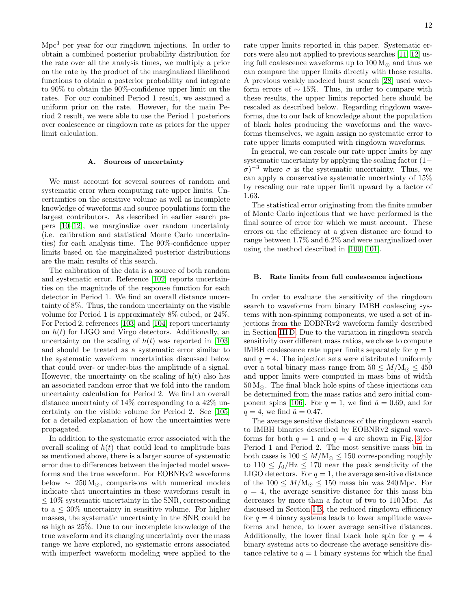Mpc<sup>3</sup> per year for our ringdown injections. In order to obtain a combined posterior probability distribution for the rate over all the analysis times, we multiply a prior on the rate by the product of the marginalized likelihood functions to obtain a posterior probability and integrate to 90% to obtain the 90%-confidence upper limit on the rates. For our combined Period 1 result, we assumed a uniform prior on the rate. However, for the main Period 2 result, we were able to use the Period 1 posteriors over coalescence or ringdown rate as priors for the upper limit calculation.

## <span id="page-11-1"></span>A. Sources of uncertainty

We must account for several sources of random and systematic error when computing rate upper limits. Uncertainties on the sensitive volume as well as incomplete knowledge of waveforms and source populations form the largest contributors. As described in earlier search papers [\[10–](#page-15-7)[12\]](#page-15-9), we marginalize over random uncertainty (i.e. calibration and statistical Monte Carlo uncertainties) for each analysis time. The 90%-confidence upper limits based on the marginalized posterior distributions are the main results of this search.

The calibration of the data is a source of both random and systematic error. Reference [\[102\]](#page-17-8) reports uncertainties on the magnitude of the response function for each detector in Period 1. We find an overall distance uncertainty of 8%. Thus, the random uncertainty on the visible volume for Period 1 is approximately 8% cubed, or 24%. For Period 2, references [\[103\]](#page-17-9) and [\[104\]](#page-17-10) report uncertainty on  $h(t)$  for LIGO and Virgo detectors. Additionally, an uncertainty on the scaling of  $h(t)$  was reported in [\[103\]](#page-17-9) and should be treated as a systematic error similar to the systematic waveform uncertainties discussed below that could over- or under-bias the amplitude of a signal. However, the uncertainty on the scaling of  $h(t)$  also has an associated random error that we fold into the random uncertainty calculation for Period 2. We find an overall distance uncertainty of 14% corresponding to a 42% uncertainty on the visible volume for Period 2. See [\[105\]](#page-17-11) for a detailed explanation of how the uncertainties were propagated.

In addition to the systematic error associated with the overall scaling of  $h(t)$  that could lead to amplitude bias as mentioned above, there is a larger source of systematic error due to differences between the injected model waveforms and the true waveform. For EOBNRv2 waveforms below  $\sim 250 \,\mathrm{M}_{\odot}$ , comparisons with numerical models indicate that uncertainties in these waveforms result in  $\leq 10\%$  systematic uncertainty in the SNR, corresponding to a  $\leq 30\%$  uncertainty in sensitive volume. For higher masses, the systematic uncertainty in the SNR could be as high as 25%. Due to our incomplete knowledge of the true waveform and its changing uncertainty over the mass range we have explored, no systematic errors associated with imperfect waveform modeling were applied to the rate upper limits reported in this paper. Systematic errors were also not applied to previous searches [\[11,](#page-15-8) [12\]](#page-15-9) using full coalescence waveforms up to  $100 M_{\odot}$  and thus we can compare the upper limits directly with those results. A previous weakly modeled burst search [\[28\]](#page-15-17) used waveform errors of  $\sim 15\%$ . Thus, in order to compare with these results, the upper limits reported here should be rescaled as described below. Regarding ringdown waveforms, due to our lack of knowledge about the population of black holes producing the waveforms and the waveforms themselves, we again assign no systematic error to rate upper limits computed with ringdown waveforms.

In general, we can rescale our rate upper limits by any systematic uncertainty by applying the scaling factor  $(1−$  $\sigma$ )<sup>-3</sup> where  $\sigma$  is the systematic uncertainty. Thus, we can apply a conservative systematic uncertainty of 15% by rescaling our rate upper limit upward by a factor of 1.63.

The statistical error originating from the finite number of Monte Carlo injections that we have performed is the final source of error for which we must account. These errors on the efficiency at a given distance are found to range between 1.7% and 6.2% and were marginalized over using the method described in [\[100,](#page-17-6) [101\]](#page-17-7).

#### <span id="page-11-0"></span>B. Rate limits from full coalescence injections

In order to evaluate the sensitivity of the ringdown search to waveforms from binary IMBH coalescing systems with non-spinning components, we used a set of injections from the EOBNRv2 waveform family described in Section [III D.](#page-9-0) Due to the variation in ringdown search sensitivity over different mass ratios, we chose to compute IMBH coalescence rate upper limits separately for  $q = 1$ and  $q = 4$ . The injection sets were distributed uniformly over a total binary mass range from  $50 \leq M/\text{M}_{\odot} \leq 450$ and upper limits were computed in mass bins of width  $50 M_{\odot}$ . The final black hole spins of these injections can be determined from the mass ratios and zero initial com-ponent spins [\[106\]](#page-17-12). For  $q = 1$ , we find  $\hat{a} = 0.69$ , and for  $q = 4$ , we find  $\hat{a} = 0.47$ .

The average sensitive distances of the ringdown search to IMBH binaries described by EOBNRv2 signal waveforms for both  $q = 1$  and  $q = 4$  are shown in Fig. [3](#page-12-0) for Period 1 and Period 2. The most sensitive mass bin in both cases is  $100 \leq M/\text{M}_\odot \leq 150$  corresponding roughly to  $110 \le f_0/\text{Hz} \le 170$  near the peak sensitivity of the LIGO detectors. For  $q = 1$ , the average sensitive distance of the  $100 \leq M/\text{M}_{\odot} \leq 150$  mass bin was 240 Mpc. For  $q = 4$ , the average sensitive distance for this mass bin decreases by more than a factor of two to 110 Mpc. As discussed in Section IB, the reduced ringdown efficiency for  $q = 4$  binary systems leads to lower amplitude waveforms and hence, to lower average sensitive distances. Additionally, the lower final black hole spin for  $q = 4$ binary systems acts to decrease the average sensitive distance relative to  $q = 1$  binary systems for which the final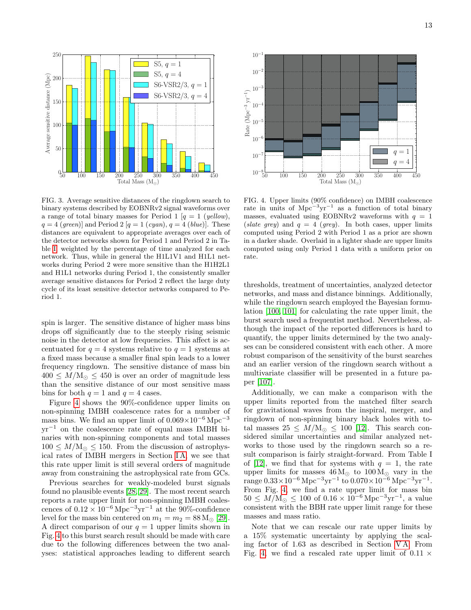

<span id="page-12-0"></span>FIG. 3. Average sensitive distances of the ringdown search to binary systems described by EOBNRv2 signal waveforms over a range of total binary masses for Period 1 [ $q = 1$  (yellow),  $q = 4$  (green)] and Period 2 [ $q = 1$  (cyan),  $q = 4$  (blue)]. These distances are equivalent to appropriate averages over each of the detector networks shown for Period 1 and Period 2 in Table [I,](#page-7-4) weighted by the percentage of time analyzed for each network. Thus, while in general the H1L1V1 and H1L1 networks during Period 2 were more sensitive than the H1H2L1 and H1L1 networks during Period 1, the consistently smaller average sensitive distances for Period 2 reflect the large duty cycle of its least sensitive detector networks compared to Period 1.

spin is larger. The sensitive distance of higher mass bins drops off significantly due to the steeply rising seismic noise in the detector at low frequencies. This affect is accentuated for  $q = 4$  systems relative to  $q = 1$  systems at a fixed mass because a smaller final spin leads to a lower frequency ringdown. The sensitive distance of mass bin  $400 \leq M/\text{M}_{\odot} \leq 450$  is over an order of magnitude less than the sensitive distance of our most sensitive mass bins for both  $q = 1$  and  $q = 4$  cases.

Figure [4](#page-12-1) shows the 90%-confidence upper limits on non-spinning IMBH coalescence rates for a number of mass bins. We find an upper limit of  $0.069 \times 10^{-6}$  Mpc<sup>-3</sup> yr<sup>−</sup><sup>1</sup> on the coalescence rate of equal mass IMBH binaries with non-spinning components and total masses  $100 \leq M/\text{M}_{\odot} \leq 150$ . From the discussion of astrophysical rates of IMBH mergers in Section [I A,](#page-5-0) we see that this rate upper limit is still several orders of magnitude away from constraining the astrophysical rate from GCs.

Previous searches for weakly-modeled burst signals found no plausible events [\[28,](#page-15-17) [29\]](#page-15-18). The most recent search reports a rate upper limit for non-spinning IMBH coalescences of  $0.12 \times 10^{-6}$  Mpc<sup>-3</sup>yr<sup>-1</sup> at the 90%-confidence level for the mass bin centered on  $m_1 = m_2 = 88$  M<sub>o</sub> [\[29\]](#page-15-18). A direct comparison of our  $q = 1$  upper limits shown in Fig. [4](#page-12-1) to this burst search result should be made with care due to the following differences between the two analyses: statistical approaches leading to different search



<span id="page-12-1"></span>FIG. 4. Upper limits (90% confidence) on IMBH coalescence rate in units of  $Mpc^{-3}yr^{-1}$  as a function of total binary masses, evaluated using EOBNRv2 waveforms with  $q = 1$ (slate grey) and  $q = 4$  (grey). In both cases, upper limits computed using Period 2 with Period 1 as a prior are shown in a darker shade. Overlaid in a lighter shade are upper limits computed using only Period 1 data with a uniform prior on rate.

thresholds, treatment of uncertainties, analyzed detector networks, and mass and distance binnings. Additionally, while the ringdown search employed the Bayesian formulation [\[100,](#page-17-6) [101\]](#page-17-7) for calculating the rate upper limit, the burst search used a frequentist method. Nevertheless, although the impact of the reported differences is hard to quantify, the upper limits determined by the two analyses can be considered consistent with each other. A more robust comparison of the sensitivity of the burst searches and an earlier version of the ringdown search without a multivariate classifier will be presented in a future paper [\[107\]](#page-17-13).

Additionally, we can make a comparison with the upper limits reported from the matched filter search for gravitational waves from the inspiral, merger, and ringdown of non-spinning binary black holes with total masses  $25 \leq M/M_{\odot} \leq 100$  [\[12\]](#page-15-9). This search considered similar uncertainties and similar analyzed networks to those used by the ringdown search so a result comparison is fairly straight-forward. From Table I of [\[12\]](#page-15-9), we find that for systems with  $q = 1$ , the rate upper limits for masses  $46 M_{\odot}$  to  $100 M_{\odot}$  vary in the range  $0.33 \times 10^{-6}$  Mpc<sup>-3</sup>yr<sup>-1</sup> to  $0.070 \times 10^{-6}$  Mpc<sup>-3</sup>yr<sup>-1</sup>. From Fig. [4,](#page-12-1) we find a rate upper limit for mass bin  $50 \leq M/\text{M}_{\odot} \leq 100 \text{ of } 0.16 \times 10^{-6} \text{ Mpc}^{-3} \text{yr}^{-1}$ , a value consistent with the BBH rate upper limit range for these masses and mass ratio.

Note that we can rescale our rate upper limits by a 15% systematic uncertainty by applying the scaling factor of 1.63 as described in Section [V A.](#page-11-1) From Fig. [4,](#page-12-1) we find a rescaled rate upper limit of  $0.11 \times$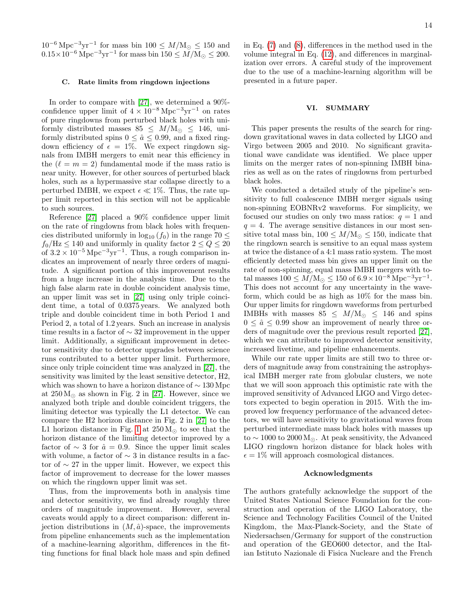$10^{-6} \text{ Mpc}^{-3} \text{yr}^{-1}$  for mass bin  $100 \leq M/\text{M}_{\odot} \leq 150$  and  $0.15 \times 10^{-6}$  Mpc<sup>-3</sup>yr<sup>-1</sup> for mass bin  $150 \le M/M_{\odot} \le 200$ .

#### <span id="page-13-1"></span>C. Rate limits from ringdown injections

In order to compare with [\[27\]](#page-15-16), we determined a 90% confidence upper limit of  $4 \times 10^{-8}$  Mpc<sup>-3</sup>yr<sup>-1</sup> on rates of pure ringdowns from perturbed black holes with uniformly distributed masses  $85 \leq M/M_{\odot} \leq 146$ , uniformly distributed spins  $0 \leq \hat{a} \leq 0.99$ , and a fixed ringdown efficiency of  $\epsilon = 1\%$ . We expect ringdown signals from IMBH mergers to emit near this efficiency in the  $(\ell = m = 2)$  fundamental mode if the mass ratio is near unity. However, for other sources of perturbed black holes, such as a hypermassive star collapse directly to a perturbed IMBH, we expect  $\epsilon \ll 1\%$ . Thus, the rate upper limit reported in this section will not be applicable to such sources.

Reference [\[27\]](#page-15-16) placed a 90% confidence upper limit on the rate of ringdowns from black holes with frequencies distributed uniformly in  $log_{10} (f_0)$  in the range 70  $\leq$  $f_0$ /Hz  $\leq 140$  and uniformly in quality factor  $2 \leq Q \leq 20$ of  $3.2 \times 10^{-5}$  Mpc<sup>-3</sup>yr<sup>-1</sup>. Thus, a rough comparison indicates an improvement of nearly three orders of magnitude. A significant portion of this improvement results from a huge increase in the analysis time. Due to the high false alarm rate in double coincident analysis time, an upper limit was set in [\[27\]](#page-15-16) using only triple coincident time, a total of 0.0375 years. We analyzed both triple and double coincident time in both Period 1 and Period 2, a total of 1.2 years. Such an increase in analysis time results in a factor of ∼ 32 improvement in the upper limit. Additionally, a significant improvement in detector sensitivity due to detector upgrades between science runs contributed to a better upper limit. Furthermore, since only triple coincident time was analyzed in [\[27\]](#page-15-16), the sensitivity was limited by the least sensitive detector, H2, which was shown to have a horizon distance of ∼ 130 Mpc at  $250 M_{\odot}$  as shown in Fig. 2 in [\[27\]](#page-15-16). However, since we analyzed both triple and double coincident triggers, the limiting detector was typically the L1 detector. We can compare the H2 horizon distance in Fig. 2 in [\[27\]](#page-15-16) to the L1 horizon distance in Fig. [1](#page-8-0) at  $250 M_{\odot}$  to see that the horizon distance of the limiting detector improved by a factor of  $\sim 3$  for  $\hat{a} = 0.9$ . Since the upper limit scales with volume, a factor of  $\sim$  3 in distance results in a factor of  $\sim$  27 in the upper limit. However, we expect this factor of improvement to decrease for the lower masses on which the ringdown upper limit was set.

Thus, from the improvements both in analysis time and detector sensitivity, we find already roughly three orders of magnitude improvement. However, several caveats would apply to a direct comparison: different injection distributions in  $(M, \hat{a})$ -space, the improvements from pipeline enhancements such as the implementation of a machine-learning algorithm, differences in the fitting functions for final black hole mass and spin defined

in Eq. [\(7\)](#page-6-1) and [\(8\)](#page-6-1), differences in the method used in the volume integral in Eq. [\(12\)](#page-10-3), and differences in marginalization over errors. A careful study of the improvement due to the use of a machine-learning algorithm will be presented in a future paper.

## <span id="page-13-0"></span>VI. SUMMARY

This paper presents the results of the search for ringdown gravitational waves in data collected by LIGO and Virgo between 2005 and 2010. No significant gravitational wave candidate was identified. We place upper limits on the merger rates of non-spinning IMBH binaries as well as on the rates of ringdowns from perturbed black holes.

We conducted a detailed study of the pipeline's sensitivity to full coalescence IMBH merger signals using non-spinning EOBNRv2 waveforms. For simplicity, we focused our studies on only two mass ratios:  $q = 1$  and  $q = 4$ . The average sensitive distances in our most sensitive total mass bin,  $100 \leq M/\text{M}_{\odot} \leq 150$ , indicate that the ringdown search is sensitive to an equal mass system at twice the distance of a 4:1 mass ratio system. The most efficiently detected mass bin gives an upper limit on the rate of non-spinning, equal mass IMBH mergers with total masses  $100 \leq M/\text{M}_{\odot} \leq 150$  of  $6.9 \times 10^{-8} \text{Mpc}^{-3} \text{yr}^{-1}$ . This does not account for any uncertainty in the waveform, which could be as high as 10% for the mass bin. Our upper limits for ringdown waveforms from perturbed IMBHs with masses  $85 \leq M/M_{\odot} \leq 146$  and spins  $0 \leq \hat{a} \leq 0.99$  show an improvement of nearly three orders of magnitude over the previous result reported [\[27\]](#page-15-16), which we can attribute to improved detector sensitivity, increased livetime, and pipeline enhancements.

While our rate upper limits are still two to three orders of magnitude away from constraining the astrophysical IMBH merger rate from globular clusters, we note that we will soon approach this optimistic rate with the improved sensitivity of Advanced LIGO and Virgo detectors expected to begin operation in 2015. With the improved low frequency performance of the advanced detectors, we will have sensitivity to gravitational waves from perturbed intermediate mass black holes with masses up to  $\sim 1000$  to 2000 M<sub>☉</sub>. At peak sensitivity, the Advanced LIGO ringdown horizon distance for black holes with  $\epsilon = 1\%$  will approach cosmological distances.

## Acknowledgments

The authors gratefully acknowledge the support of the United States National Science Foundation for the construction and operation of the LIGO Laboratory, the Science and Technology Facilities Council of the United Kingdom, the Max-Planck-Society, and the State of Niedersachsen/Germany for support of the construction and operation of the GEO600 detector, and the Italian Istituto Nazionale di Fisica Nucleare and the French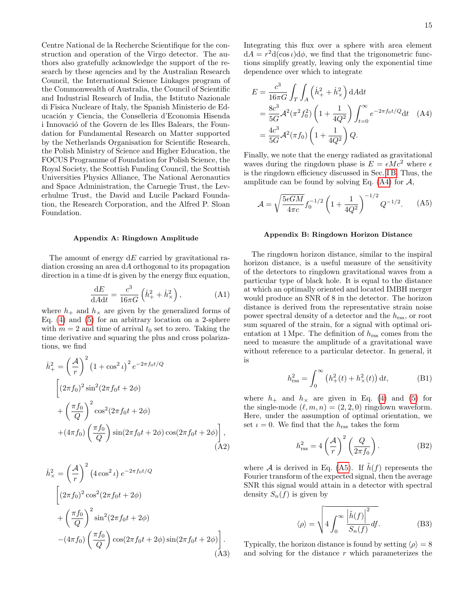Centre National de la Recherche Scientifique for the construction and operation of the Virgo detector. The authors also gratefully acknowledge the support of the research by these agencies and by the Australian Research Council, the International Science Linkages program of the Commonwealth of Australia, the Council of Scientific and Industrial Research of India, the Istituto Nazionale di Fisica Nucleare of Italy, the Spanish Ministerio de Educación y Ciencia, the Conselleria d'Economia Hisenda i Innovació of the Govern de les Illes Balears, the Foundation for Fundamental Research on Matter supported by the Netherlands Organisation for Scientific Research, the Polish Ministry of Science and Higher Education, the FOCUS Programme of Foundation for Polish Science, the Royal Society, the Scottish Funding Council, the Scottish Universities Physics Alliance, The National Aeronautics and Space Administration, the Carnegie Trust, the Leverhulme Trust, the David and Lucile Packard Foundation, the Research Corporation, and the Alfred P. Sloan Foundation.

## <span id="page-14-0"></span>Appendix A: Ringdown Amplitude

The amount of energy  $dE$  carried by gravitational radiation crossing an area dA orthogonal to its propagation direction in a time dt is given by the energy flux equation,

$$
\frac{\mathrm{d}E}{\mathrm{d}A\mathrm{d}t} = \frac{c^3}{16\pi G} \left(\dot{h}_+^2 + \dot{h}_\times^2\right),\tag{A1}
$$

where  $h_+$  and  $h_{\times}$  are given by the generalized forms of Eq.  $(4)$  and  $(5)$  for an arbitrary location on a 2-sphere with  $m = 2$  and time of arrival  $t_0$  set to zero. Taking the time derivative and squaring the plus and cross polarizations, we find

$$
\dot{h}_{+}^{2} = \left(\frac{\mathcal{A}}{r}\right)^{2} \left(1 + \cos^{2} \iota\right)^{2} e^{-2\pi f_{0}t/Q}
$$
\n
$$
\left[\left(2\pi f_{0}\right)^{2} \sin^{2}\left(2\pi f_{0}t + 2\phi\right)\right]
$$
\n
$$
+\left(\frac{\pi f_{0}}{Q}\right)^{2} \cos^{2}\left(2\pi f_{0}t + 2\phi\right)
$$
\n
$$
+\left(4\pi f_{0}\right) \left(\frac{\pi f_{0}}{Q}\right) \sin\left(2\pi f_{0}t + 2\phi\right) \cos\left(2\pi f_{0}t + 2\phi\right)\right],
$$
\n(A2)

$$
\dot{h}_{\times}^{2} = \left(\frac{\mathcal{A}}{r}\right)^{2} \left(4\cos^{2} t\right) e^{-2\pi f_{0}t/Q}
$$
\n
$$
\left[\left(2\pi f_{0}\right)^{2} \cos^{2}\left(2\pi f_{0}t + 2\phi\right)\right]
$$
\n
$$
+\left(\frac{\pi f_{0}}{Q}\right)^{2} \sin^{2}\left(2\pi f_{0}t + 2\phi\right)
$$
\n
$$
-\left(4\pi f_{0}\right) \left(\frac{\pi f_{0}}{Q}\right) \cos\left(2\pi f_{0}t + 2\phi\right) \sin\left(2\pi f_{0}t + 2\phi\right)\right].
$$
\n(A3)

Integrating this flux over a sphere with area element  $dA = r^2 d(\cos t) d\phi$ , we find that the trigonometric functions simplify greatly, leaving only the exponential time dependence over which to integrate

<span id="page-14-3"></span>
$$
E = \frac{c^3}{16\pi G} \int_T \int_A \left(\dot{h}_+^2 + \dot{h}_\times^2\right) dA dt
$$
  
=  $\frac{8c^3}{5G} \mathcal{A}^2 (\pi^2 f_0^2) \left(1 + \frac{1}{4Q^2}\right) \int_{t=0}^\infty e^{-2\pi f_0 t/Q} dt$  (A4)  
=  $\frac{4c^3}{5G} \mathcal{A}^2 (\pi f_0) \left(1 + \frac{1}{4Q^2}\right) Q.$ 

Finally, we note that the energy radiated as gravitational waves during the ringdown phase is  $E = \epsilon M c^2$  where  $\epsilon$ is the ringdown efficiency discussed in Sec. [I B.](#page-5-1) Thus, the amplitude can be found by solving Eq.  $(A4)$  for  $A$ ,

<span id="page-14-1"></span>
$$
\mathcal{A} = \sqrt{\frac{5\epsilon GM}{4\pi c}} f_0^{-1/2} \left( 1 + \frac{1}{4Q^2} \right)^{-1/2} Q^{-1/2}.
$$
 (A5)

#### <span id="page-14-2"></span>Appendix B: Ringdown Horizon Distance

The ringdown horizon distance, similar to the inspiral horizon distance, is a useful measure of the sensitivity of the detectors to ringdown gravitational waves from a particular type of black hole. It is equal to the distance at which an optimally oriented and located IMBH merger would produce an SNR of 8 in the detector. The horizon distance is derived from the representative strain noise power spectral density of a detector and the  $h_{\text{rss}}$ , or root sum squared of the strain, for a signal with optimal orientation at 1 Mpc. The definition of  $h_{\text{rss}}$  comes from the need to measure the amplitude of a gravitational wave without reference to a particular detector. In general, it is

$$
h_{\rm rss}^2 = \int_0^\infty (h_+^2(t) + h_\times^2(t)) \, \mathrm{d}t,\tag{B1}
$$

where  $h_+$  and  $h_{\times}$  are given in Eq. [\(4\)](#page-6-4) and [\(5\)](#page-6-5) for the single-mode  $(\ell, m, n) = (2, 2, 0)$  ringdown waveform. Here, under the assumption of optimal orientation, we set  $\iota = 0$ . We find that the  $h_{\text{rss}}$  takes the form

<span id="page-14-4"></span>
$$
h_{\rm rss}^2 = 4\left(\frac{\mathcal{A}}{r}\right)^2 \left(\frac{Q}{2\pi f_0}\right). \tag{B2}
$$

where A is derived in Eq. [\(A5\)](#page-14-1). If  $\tilde{h}(f)$  represents the Fourier transform of the expected signal, then the average SNR this signal would attain in a detector with spectral density  $S_n(f)$  is given by

$$
\langle \rho \rangle = \sqrt{4 \int_0^\infty \frac{\left| \tilde{h}(f) \right|^2}{S_n(f)} df}.
$$
 (B3)

Typically, the horizon distance is found by setting  $\langle \rho \rangle = 8$ and solving for the distance r which parameterizes the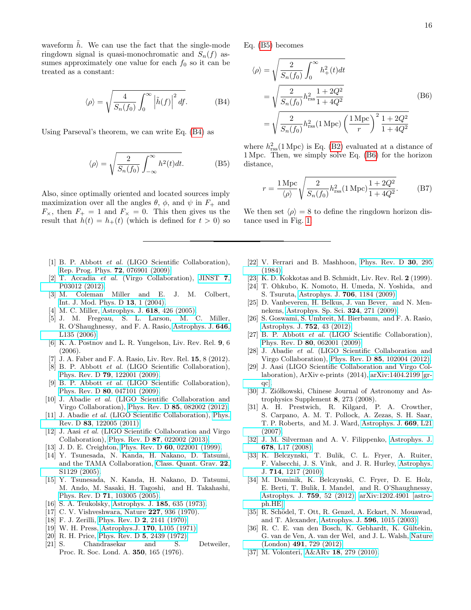16

waveform  $h$ . We can use the fact that the single-mode ringdown signal is quasi-monochromatic and  $S_n(f)$  assumes approximately one value for each  $f_0$  so it can be treated as a constant:

<span id="page-15-28"></span>
$$
\langle \rho \rangle = \sqrt{\frac{4}{S_n(f_0)}} \int_0^\infty \left| \tilde{h}(f) \right|^2 df. \tag{B4}
$$

Using Parseval's theorem, we can write Eq. [\(B4\)](#page-15-28) as

<span id="page-15-29"></span>
$$
\langle \rho \rangle = \sqrt{\frac{2}{S_n(f_0)} \int_{-\infty}^{\infty} h^2(t) dt}.
$$
 (B5)

Also, since optimally oriented and located sources imply maximization over all the angles  $\theta$ ,  $\phi$ , and  $\psi$  in  $F_+$  and  $F_{\times}$ , then  $F_{+} = 1$  and  $F_{\times} = 0$ . This then gives us the result that  $h(t) = h_+(t)$  (which is defined for  $t > 0$ ) so

- <span id="page-15-0"></span>[1] B. P. Abbott et al. (LIGO Scientific Collaboration), [Rep. Prog. Phys.](http://stacks.iop.org/0034-4885/72/i=7/a=076901) 72, 076901 (2009).
- <span id="page-15-1"></span>[2] T. Accadia et al. (Virgo Collaboration), [JINST](http://stacks.iop.org/1748-0221/7/i=03/a=P03012) 7, [P03012 \(2012\).](http://stacks.iop.org/1748-0221/7/i=03/a=P03012)
- <span id="page-15-2"></span>[3] M. Coleman Miller and E. J. M. Colbert, [Int. J. Mod. Phys. D](http://dx.doi.org/10.1142/S0218271804004426) 13, 1 (2004).
- <span id="page-15-26"></span>[4] M. C. Miller, [Astrophys. J.](http://dx.doi.org/10.1086/425910) **618**, 426 (2005).
- <span id="page-15-3"></span>[5] J. M. Fregeau, S. L. Larson, M. C. Miller, R. O'Shaughnessy, and F. A. Rasio, [Astrophys. J.](http://dx.doi.org/10.1086/507106) 646, [L135 \(2006\).](http://dx.doi.org/10.1086/507106)
- <span id="page-15-4"></span>[6] K. A. Postnov and L. R. Yungelson, Liv. Rev. Rel. 9, 6 (2006).
- <span id="page-15-5"></span>[7] J. A. Faber and F. A. Rasio, Liv. Rev. Rel. 15, 8 (2012).
- <span id="page-15-6"></span>[8] B. P. Abbott et al. (LIGO Scientific Collaboration), Phys. Rev. D 79[, 122001 \(2009\).](http://dx.doi.org/10.1103/PhysRevD.79.122001)
- [9] B. P. Abbott et al. (LIGO Scientific Collaboration), Phys. Rev. D 80[, 047101 \(2009\).](http://dx.doi.org/10.1103/PhysRevD.80.047101)
- <span id="page-15-7"></span>[10] J. Abadie et al. (LIGO Scientific Collaboration and Virgo Collaboration), Phys. Rev. D 85[, 082002 \(2012\).](http://dx.doi.org/ 10.1103/PhysRevD.85.082002)
- <span id="page-15-8"></span>[11] J. Abadie et al. (LIGO Scientific Collaboration), [Phys.](http://dx.doi.org/10.1103/PhysRevD.83.122005) Rev. D 83[, 122005 \(2011\).](http://dx.doi.org/10.1103/PhysRevD.83.122005)
- <span id="page-15-9"></span>[12] J. Aasi et al. (LIGO Scientific Collaboration and Virgo Collaboration), Phys. Rev. D 87[, 022002 \(2013\).](http://dx.doi.org/ 10.1103/PhysRevD.87.022002)
- <span id="page-15-10"></span>[13] J. D. E. Creighton, Phys. Rev. D 60[, 022001 \(1999\).](http://dx.doi.org/10.1103/PhysRevD.60.022001)
- <span id="page-15-27"></span>[14] Y. Tsunesada, N. Kanda, H. Nakano, D. Tatsumi, and the TAMA Collaboration, [Class. Quant. Grav.](http://stacks.iop.org/0264-9381/22/i=18/a=S27) 22, [S1129 \(2005\).](http://stacks.iop.org/0264-9381/22/i=18/a=S27)
- <span id="page-15-11"></span>[15] Y. Tsunesada, N. Kanda, H. Nakano, D. Tatsumi, M. Ando, M. Sasaki, H. Tagoshi, and H. Takahashi, Phys. Rev. D 71[, 103005 \(2005\).](http://dx.doi.org/10.1103/PhysRevD.71.103005)
- <span id="page-15-12"></span>[16] S. A. Teukolsky, [Astrophys. J.](http://dx.doi.org/10.1086/152444) 185, 635 (1973).
- [17] C. V. Vishveshwara, Nature **227**, 936 (1970).
- [18] F. J. Zerilli, [Phys. Rev. D](http://dx.doi.org/10.1103/PhysRevD.2.2141) 2, 2141 (1970).
- [19] W. H. Press, Astrophys.J. **170**[, L105 \(1971\).](http://dx.doi.org/10.1086/180849)
- [20] R. H. Price, [Phys. Rev. D](http://dx.doi.org/10.1103/PhysRevD.5.2439) 5, 2439 (1972).
- [21] S. Chandrasekar and S. Detweiler, Proc. R. Soc. Lond. A. 350, 165 (1976).

Eq. [\(B5\)](#page-15-29) becomes

<span id="page-15-30"></span>
$$
\langle \rho \rangle = \sqrt{\frac{2}{S_n(f_0)} \int_0^\infty h_+^2(t) dt}
$$
  
=  $\sqrt{\frac{2}{S_n(f_0)} h_{\text{rss}}^2 \frac{1 + 2Q^2}{1 + 4Q^2}}$  (B6)  
=  $\sqrt{\frac{2}{S_n(f_0)} h_{\text{rss}}^2 (1 \text{ Mpc}) \left(\frac{1 \text{ Mpc}}{r}\right)^2 \frac{1 + 2Q^2}{1 + 4Q^2}}$ 

where  $h_{\text{rss}}^2(1 \text{ Mpc})$  is Eq. [\(B2\)](#page-14-4) evaluated at a distance of 1 Mpc. Then, we simply solve Eq. [\(B6\)](#page-15-30) for the horizon distance,

$$
r = \frac{1 \text{ Mpc}}{\langle \rho \rangle} \sqrt{\frac{2}{S_n(f_0)} h_{\text{rss}}^2 (1 \text{ Mpc}) \frac{1 + 2Q^2}{1 + 4Q^2}}.
$$
 (B7)

We then set  $\langle \rho \rangle = 8$  to define the ringdown horizon distance used in Fig. [1.](#page-8-0)

- [22] V. Ferrari and B. Mashhoon, [Phys. Rev. D](http://dx.doi.org/10.1103/PhysRevD.30.295) 30, 295 [\(1984\).](http://dx.doi.org/10.1103/PhysRevD.30.295)
- <span id="page-15-13"></span>[23] K. D. Kokkotas and B. Schmidt, Liv. Rev. Rel. 2 (1999).
- <span id="page-15-14"></span>[24] T. Ohkubo, K. Nomoto, H. Umeda, N. Yoshida, and S. Tsuruta, [Astrophys. J.](http://dx.doi.org/ 10.1088/0004-637X/706/2/1184) 706, 1184 (2009).
- [25] D. Vanbeveren, H. Belkus, J. van Bever, and N. Mennekens, [Astrophys. Sp. Sci.](http://dx.doi.org/10.1007/s10509-009-0134-3) 324, 271 (2009).
- <span id="page-15-15"></span>[26] S. Goswami, S. Umbreit, M. Bierbaum, and F. A. Rasio, [Astrophys. J.](http://dx.doi.org/10.1088/0004-637X/752/1/43) 752, 43 (2012).
- <span id="page-15-16"></span>[27] B. P. Abbott et al. (LIGO Scientific Collaboration), Phys. Rev. D 80[, 062001 \(2009\).](http://dx.doi.org/10.1103/PhysRevD.80.062001)
- <span id="page-15-17"></span>[28] J. Abadie et al. (LIGO Scientific Collaboration and Virgo Collaboration), Phys. Rev. D 85[, 102004 \(2012\).](http://dx.doi.org/ 10.1103/PhysRevD.85.102004)
- <span id="page-15-18"></span>[29] J. Aasi (LIGO Scientific Collaboration and Virgo Collaboration), ArXiv e-prints (2014), [arXiv:1404.2199 \[gr](http://arxiv.org/abs/1404.2199)[qc\].](http://arxiv.org/abs/1404.2199)
- <span id="page-15-19"></span>[30] J. Ziółkowski, Chinese Journal of Astronomy and Astrophysics Supplement 8, 273 (2008).
- [31] A. H. Prestwich, R. Kilgard, P. A. Crowther, S. Carpano, A. M. T. Pollock, A. Zezas, S. H. Saar, T. P. Roberts, and M. J. Ward, [Astrophys. J.](http://dx.doi.org/ 10.1086/523755) 669, L21 [\(2007\).](http://dx.doi.org/ 10.1086/523755)
- <span id="page-15-20"></span>[32] J. M. Silverman and A. V. Filippenko, [Astrophys. J.](http://dx.doi.org/10.1086/588096) 678[, L17 \(2008\).](http://dx.doi.org/10.1086/588096)
- <span id="page-15-21"></span>[33] K. Belczynski, T. Bulik, C. L. Fryer, A. Ruiter, F. Valsecchi, J. S. Vink, and J. R. Hurley, [Astrophys.](http://dx.doi.org/ 10.1088/0004-637X/714/2/1217) J. 714[, 1217 \(2010\).](http://dx.doi.org/ 10.1088/0004-637X/714/2/1217)
- <span id="page-15-22"></span>[34] M. Dominik, K. Belczynski, C. Fryer, D. E. Holz, E. Berti, T. Bulik, I. Mandel, and R. O'Shaughnessy, [Astrophys. J.](http://dx.doi.org/ 10.1088/0004-637X/759/1/52) 759, 52 (2012), [arXiv:1202.4901 \[astro](http://arxiv.org/abs/1202.4901)[ph.HE\].](http://arxiv.org/abs/1202.4901)
- <span id="page-15-23"></span>[35] R. Schödel, T. Ott, R. Genzel, A. Eckart, N. Mouawad, and T. Alexander, [Astrophys. J.](http://dx.doi.org/ 10.1086/378122) 596, 1015 (2003).
- <span id="page-15-24"></span>[36] R. C. E. van den Bosch, K. Gebhardt, K. Gültekin, G. van de Ven, A. van der Wel, and J. L. Walsh, [Nature](http://dx.doi.org/10.1038/nature11592) (London) 491[, 729 \(2012\).](http://dx.doi.org/10.1038/nature11592)
- <span id="page-15-25"></span>[37] M. Volonteri, A&ARv 18[, 279 \(2010\).](http://dx.doi.org/10.1007/s00159-010-0029-x)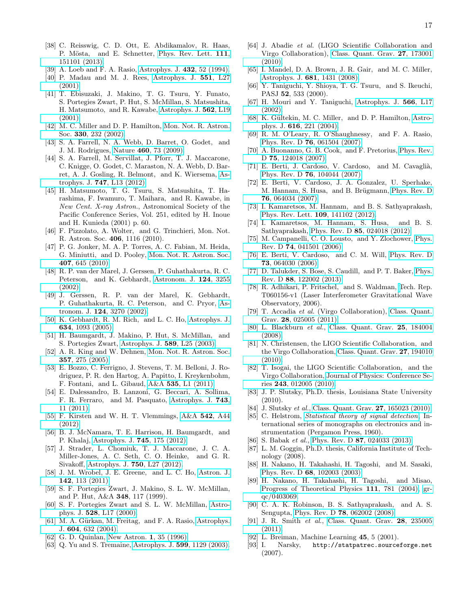- <span id="page-16-0"></span>[38] C. Reisswig, C. D. Ott, E. Abdikamalov, R. Haas, P. Mösta, and E. Schnetter, [Phys. Rev. Lett.](http://dx.doi.org/10.1103/PhysRevLett.111.151101) 111, [151101 \(2013\).](http://dx.doi.org/10.1103/PhysRevLett.111.151101)
- <span id="page-16-1"></span>[39] A. Loeb and F. A. Rasio, [Astrophys. J.](http://dx.doi.org/10.1086/174548) 432, 52 (1994).
- [40] P. Madau and M. J. Rees, [Astrophys. J.](http://stacks.iop.org/1538-4357/551/i=1/a=L27) 551, L27 [\(2001\).](http://stacks.iop.org/1538-4357/551/i=1/a=L27)
- <span id="page-16-14"></span>[41] T. Ebisuzaki, J. Makino, T. G. Tsuru, Y. Funato, S. Portegies Zwart, P. Hut, S. McMillan, S. Matsushita, H. Matsumoto, and R. Kawabe, [Astrophys. J.](http://dx.doi.org/ 10.1086/338118) 562, L19 [\(2001\).](http://dx.doi.org/ 10.1086/338118)
- <span id="page-16-2"></span>[42] M. C. Miller and D. P. Hamilton, [Mon. Not. R. Astron.](http://dx.doi.org/10.1046/j.1365-8711.2002.05112.x) Soc. 330[, 232 \(2002\).](http://dx.doi.org/10.1046/j.1365-8711.2002.05112.x)
- <span id="page-16-3"></span>[43] S. A. Farrell, N. A. Webb, D. Barret, O. Godet, and J. M. Rodrigues, Nature 460[, 73 \(2009\).](http://dx.doi.org/10.1038/nature08083)
- <span id="page-16-4"></span>[44] S. A. Farrell, M. Servillat, J. Pforr, T. J. Maccarone, C. Knigge, O. Godet, C. Maraston, N. A. Webb, D. Barret, A. J. Gosling, R. Belmont, and K. Wiersema, [As](http://stacks.iop.org/2041-8205/747/i=1/a=L13)trophys. J. 747[, L13 \(2012\).](http://stacks.iop.org/2041-8205/747/i=1/a=L13)
- <span id="page-16-5"></span>[45] H. Matsumoto, T. G. Tsuru, S. Matsushita, T. Harashima, F. Iwamuro, T. Maihara, and R. Kawabe, in New Cent. X-ray Astron., Astronomical Society of the Pacific Conference Series, Vol. 251, edited by H. Inoue and H. Kunieda (2001) p. 60.
- <span id="page-16-6"></span>[46] F. Pizzolato, A. Wolter, and G. Trinchieri, Mon. Not. R. Astron. Soc. 406, 1116 (2010).
- <span id="page-16-7"></span>[47] P. G. Jonker, M. A. P. Torres, A. C. Fabian, M. Heida, G. Miniutti, and D. Pooley, [Mon. Not. R. Astron. Soc.](http://dx.doi.org/10.1111/j.1365-2966.2010.16943.x) 407[, 645 \(2010\).](http://dx.doi.org/10.1111/j.1365-2966.2010.16943.x)
- <span id="page-16-8"></span>[48] R. P. van der Marel, J. Gerssen, P. Guhathakurta, R. C. Peterson, and K. Gebhardt, [Astronom. J.](http://stacks.iop.org/1538-3881/124/i=6/a=3255) 124, 3255 [\(2002\).](http://stacks.iop.org/1538-3881/124/i=6/a=3255)
- [49] J. Gerssen, R. P. van der Marel, K. Gebhardt, P. Guhathakurta, R. C. Peterson, and C. Pryor, [As](http://dx.doi.org/10.1086/344584)tronom. J. 124[, 3270 \(2002\).](http://dx.doi.org/10.1086/344584)
- <span id="page-16-9"></span>[50] K. Gebhardt, R. M. Rich, and L. C. Ho, [Astrophys. J.](http://dx.doi.org/10.1086/497023) 634[, 1093 \(2005\).](http://dx.doi.org/10.1086/497023)
- <span id="page-16-10"></span>[51] H. Baumgardt, J. Makino, P. Hut, S. McMillan, and S. Portegies Zwart, [Astrophys. J.](http://stacks.iop.org/1538-4357/589/i=1/a=L25) 589, L25 (2003).
- <span id="page-16-11"></span>[52] A. R. King and W. Dehnen, [Mon. Not. R. Astron. Soc.](http://dx.doi.org/10.1111/j.1365-2966.2005.08634.x) 357[, 275 \(2005\).](http://dx.doi.org/10.1111/j.1365-2966.2005.08634.x)
- <span id="page-16-12"></span>[53] E. Bozzo, C. Ferrigno, J. Stevens, T. M. Belloni, J. Rodriguez, P. R. den Hartog, A. Papitto, I. Kreykenbohm, F. Fontani, and L. Gibaud, A&A 535[, L1 \(2011\).](http://dx.doi.org/ 10.1051/0004-6361/201118022)
- [54] E. Dalessandro, B. Lanzoni, G. Beccari, A. Sollima, F. R. Ferraro, and M. Pasquato, [Astrophys. J.](http://dx.doi.org/10.1088/0004-637X/743/1/11) 743, [11 \(2011\).](http://dx.doi.org/10.1088/0004-637X/743/1/11)
- [55] F. Kirsten and W. H. T. Vlemmings, A&A 542[, A44](http://dx.doi.org/10.1051/0004-6361/201218928) [\(2012\).](http://dx.doi.org/10.1051/0004-6361/201218928)
- [56] B. J. McNamara, T. E. Harrison, H. Baumgardt, and P. Khalaj, [Astrophys. J.](http://dx.doi.org/10.1088/0004-637X/745/2/175) 745, 175 (2012).
- [57] J. Strader, L. Chomiuk, T. J. Maccarone, J. C. A. Miller-Jones, A. C. Seth, C. O. Heinke, and G. R. Sivakoff, [Astrophys. J.](http://dx.doi.org/10.1088/2041-8205/750/2/L27) 750, L27 (2012).
- <span id="page-16-13"></span>[58] J. M. Wrobel, J. E. Greene, and L. C. Ho, [Astron. J.](http://dx.doi.org/10.1088/0004-6256/142/4/113) 142[, 113 \(2011\).](http://dx.doi.org/10.1088/0004-6256/142/4/113)
- <span id="page-16-15"></span>[59] S. F. Portegies Zwart, J. Makino, S. L. W. McMillan, and P. Hut, A&A 348, 117 (1999).
- [60] S. F. Portegies Zwart and S. L. W. McMillan, [Astro-](http://stacks.iop.org/1538-4357/528/i=1/a=L17)phys. J. 528[, L17 \(2000\).](http://stacks.iop.org/1538-4357/528/i=1/a=L17)
- <span id="page-16-16"></span>[61] M. A. Gürkan, M. Freitag, and F. A. Rasio, [Astrophys.](http://dx.doi.org/10.1086/381968) J. 604[, 632 \(2004\).](http://dx.doi.org/10.1086/381968)
- <span id="page-16-17"></span>[62] G. D. Quinlan, [New Astron.](http://dx.doi.org/10.1016/S1384-1076(96)00003-6) 1, 35 (1996).
- <span id="page-16-18"></span>[63] Q. Yu and S. Tremaine, [Astrophys. J.](http://stacks.iop.org/0004-637X/599/i=2/a=1129) **599**, 1129 (2003).
- <span id="page-16-19"></span>[64] J. Abadie et al. (LIGO Scientific Collaboration and Virgo Collaboration), [Class. Quant. Grav.](http://dx.doi.org/ 10.1088/0264-9381/27/17/173001) 27, 173001 [\(2010\).](http://dx.doi.org/ 10.1088/0264-9381/27/17/173001)
- <span id="page-16-20"></span>[65] I. Mandel, D. A. Brown, J. R. Gair, and M. C. Miller, [Astrophys. J.](http://dx.doi.org/10.1086/588246) 681, 1431 (2008).
- <span id="page-16-21"></span>[66] Y. Taniguchi, Y. Shioya, T. G. Tsuru, and S. Ikeuchi, PASJ 52, 533 (2000).
- [67] H. Mouri and Y. Taniguchi, [Astrophys. J.](http://dx.doi.org/10.1086/339472) 566, L17 [\(2002\).](http://dx.doi.org/10.1086/339472)
- [68] K. Gültekin, M. C. Miller, and D. P. Hamilton, [Astro](http://dx.doi.org/10.1086/424809)phys. J. 616[, 221 \(2004\).](http://dx.doi.org/10.1086/424809)
- <span id="page-16-22"></span>[69] R. M. O'Leary, R. O'Shaughnessy, and F. A. Rasio, Phys. Rev. D 76[, 061504 \(2007\).](http://dx.doi.org/10.1103/PhysRevD.76.061504)
- <span id="page-16-23"></span>[70] A. Buonanno, G. B. Cook, and F. Pretorius, [Phys. Rev.](http://dx.doi.org/10.1103/PhysRevD.75.124018) D **75**[, 124018 \(2007\).](http://dx.doi.org/10.1103/PhysRevD.75.124018)
- <span id="page-16-24"></span>[71] E. Berti, J. Cardoso, V. Cardoso, and M. Cavaglià, Phys. Rev. D 76[, 104044 \(2007\).](http://dx.doi.org/10.1103/PhysRevD.76.104044)
- <span id="page-16-25"></span>[72] E. Berti, V. Cardoso, J. A. Gonzalez, U. Sperhake, M. Hannam, S. Husa, and B. Brügmann, [Phys. Rev. D](http://dx.doi.org/ 10.1103/PhysRevD.76.064034) 76[, 064034 \(2007\).](http://dx.doi.org/ 10.1103/PhysRevD.76.064034)
- <span id="page-16-27"></span>[73] I. Kamaretsos, M. Hannam, and B. S. Sathyaprakash, [Phys. Rev. Lett.](http://dx.doi.org/10.1103/PhysRevLett.109.141102) 109, 141102 (2012).
- <span id="page-16-26"></span>[74] I. Kamaretsos, M. Hannam, S. Husa, and B. S. Sathyaprakash, Phys. Rev. D 85[, 024018 \(2012\).](http://dx.doi.org/10.1103/PhysRevD.85.024018)
- <span id="page-16-28"></span>[75] M. Campanelli, C. O. Lousto, and Y. Zlochower, [Phys.](http://dx.doi.org/10.1103/PhysRevD.74.041501) Rev. D 74[, 041501 \(2006\).](http://dx.doi.org/10.1103/PhysRevD.74.041501)
- <span id="page-16-29"></span>[76] E. Berti, V. Cardoso, and C. M. Will, [Phys. Rev. D](http://dx.doi.org/10.1103/PhysRevD.73.064030) 73[, 064030 \(2006\).](http://dx.doi.org/10.1103/PhysRevD.73.064030)
- <span id="page-16-30"></span>[77] D. Talukder, S. Bose, S. Caudill, and P. T. Baker, [Phys.](http://dx.doi.org/10.1103/PhysRevD.88.122002) Rev. D 88[, 122002 \(2013\).](http://dx.doi.org/10.1103/PhysRevD.88.122002)
- <span id="page-16-31"></span>[78] R. Adhikari, P. Fritschel, and S. Waldman, [T](https://dcc.ligo.org/LIGO-T060156/public)ech. Rep. T060156-v1 (Laser Interferometer Gravitational Wave Observatory, 2006).
- <span id="page-16-32"></span>[79] T. Accadia et al. (Virgo Collaboration), [Class. Quant.](http://stacks.iop.org/0264-9381/28/i=2/a=025005) Grav. 28[, 025005 \(2011\).](http://stacks.iop.org/0264-9381/28/i=2/a=025005)
- <span id="page-16-33"></span>[80] L. Blackburn et al., [Class. Quant. Grav.](http://stacks.iop.org/0264-9381/25/i=18/a=184004) 25, 184004 [\(2008\).](http://stacks.iop.org/0264-9381/25/i=18/a=184004)
- [81] N. Christensen, the LIGO Scientific Collaboration, and the Virgo Collaboration, [Class. Quant. Grav.](http://stacks.iop.org/0264-9381/27/i=19/a=194010) 27, 194010 [\(2010\).](http://stacks.iop.org/0264-9381/27/i=19/a=194010)
- <span id="page-16-34"></span>[82] T. Isogai, the LIGO Scientific Collaboration, and the Virgo Collaboration, [Journal of Physics: Conference Se](http://stacks.iop.org/1742-6596/243/i=1/a=012005)ries 243[, 012005 \(2010\).](http://stacks.iop.org/1742-6596/243/i=1/a=012005)
- <span id="page-16-35"></span>[83] J. P. Slutsky, Ph.D. thesis, Louisiana State University (2010).
- <span id="page-16-36"></span>[84] J. Slutsky *et al.*, [Class. Quant. Grav.](http://stacks.iop.org/0264-9381/27/i=16/a=165023) **27**, 165023 (2010).
- <span id="page-16-37"></span>[85] C. Helstrom, [Statistical theory of signal detection](http://books.google.com/books?id=RNAyAAAAMAAJ), International series of monographs on electronics and instrumentation (Pergamon Press, 1960).
- <span id="page-16-38"></span>[86] S. Babak et al., Phys. Rev. D 87[, 024033 \(2013\).](http://dx.doi.org/10.1103/PhysRevD.87.024033)
- <span id="page-16-39"></span>[87] L. M. Goggin, Ph.D. thesis, California Institute of Technology (2008).
- <span id="page-16-40"></span>[88] H. Nakano, H. Takahashi, H. Tagoshi, and M. Sasaki, Phys. Rev. D 68[, 102003 \(2003\).](http://dx.doi.org/10.1103/PhysRevD.68.102003)
- <span id="page-16-41"></span>[89] H. Nakano, H. Takahashi, H. Tagoshi, and Misao, [Progress of Theoretical Physics](http://dx.doi.org/10.1143/PTP.111.781) 111, 781 (2004), [gr](http://arxiv.org/abs/gr-qc/0403069)[qc/0403069.](http://arxiv.org/abs/gr-qc/0403069)
- <span id="page-16-42"></span>[90] C. A. K. Robinson, B. S. Sathyaprakash, and A. S. Sengupta, Phys. Rev. D 78[, 062002 \(2008\).](http://dx.doi.org/ 10.1103/PhysRevD.78.062002)
- <span id="page-16-43"></span>[91] J. R. Smith et al., [Class. Quant. Grav.](http://dx.doi.org/10.1088/0264-9381/28/23/235005) 28, 235005 [\(2011\).](http://dx.doi.org/10.1088/0264-9381/28/23/235005)
- <span id="page-16-44"></span>[92] L. Breiman, Machine Learning 45, 5 (2001).
- <span id="page-16-45"></span>[93] I. Narsky, http://statpatrec.sourceforge.net (2007).